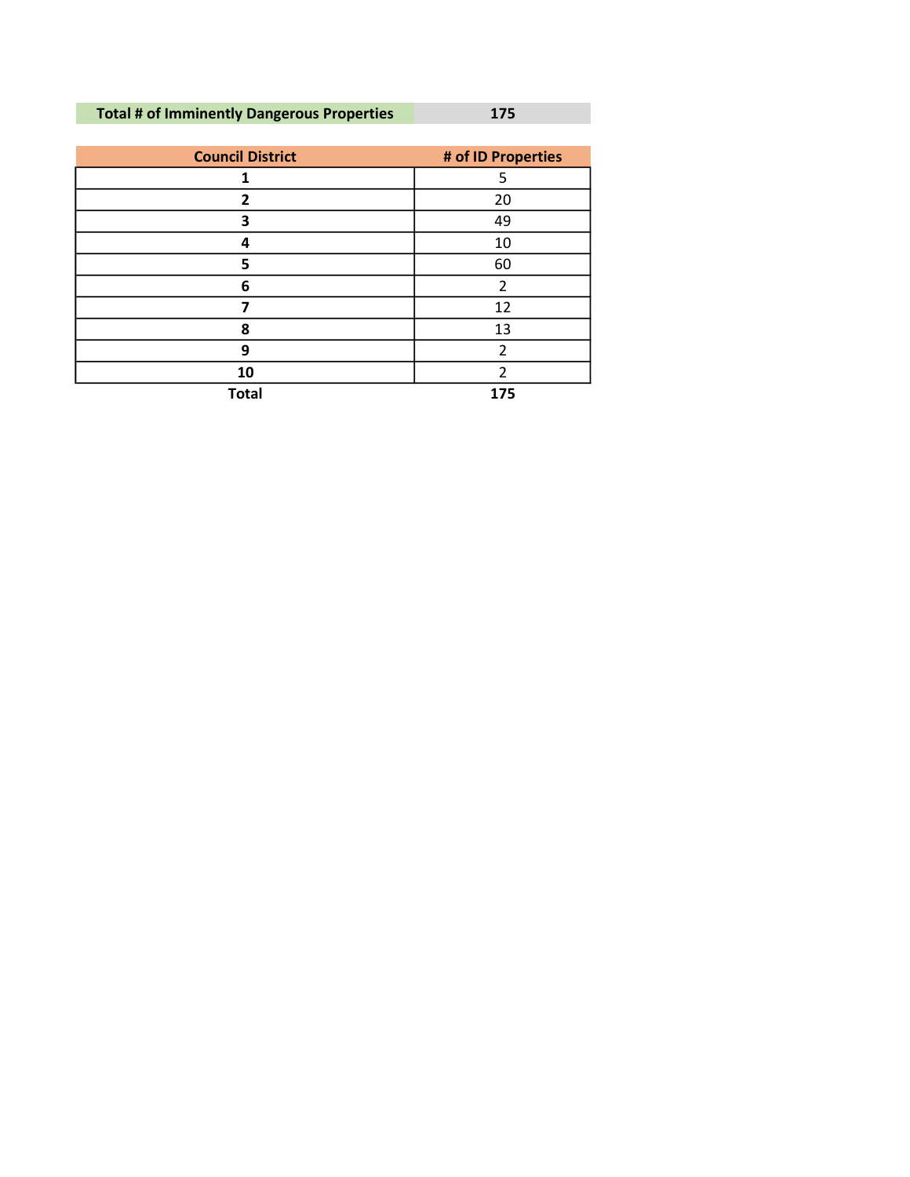## Total # of Imminently Dangerous Properties 175

| <b>Council District</b> | # of ID Properties       |
|-------------------------|--------------------------|
|                         | 5                        |
| $\overline{2}$          | 20                       |
| 3                       | 49                       |
| 4                       | 10                       |
| 5                       | 60                       |
| 6                       | $\overline{\phantom{a}}$ |
| 7                       | 12                       |
| 8                       | 13                       |
| 9                       | $\overline{2}$           |
| 10                      | $\mathcal{P}$            |
| <b>Total</b>            | 175                      |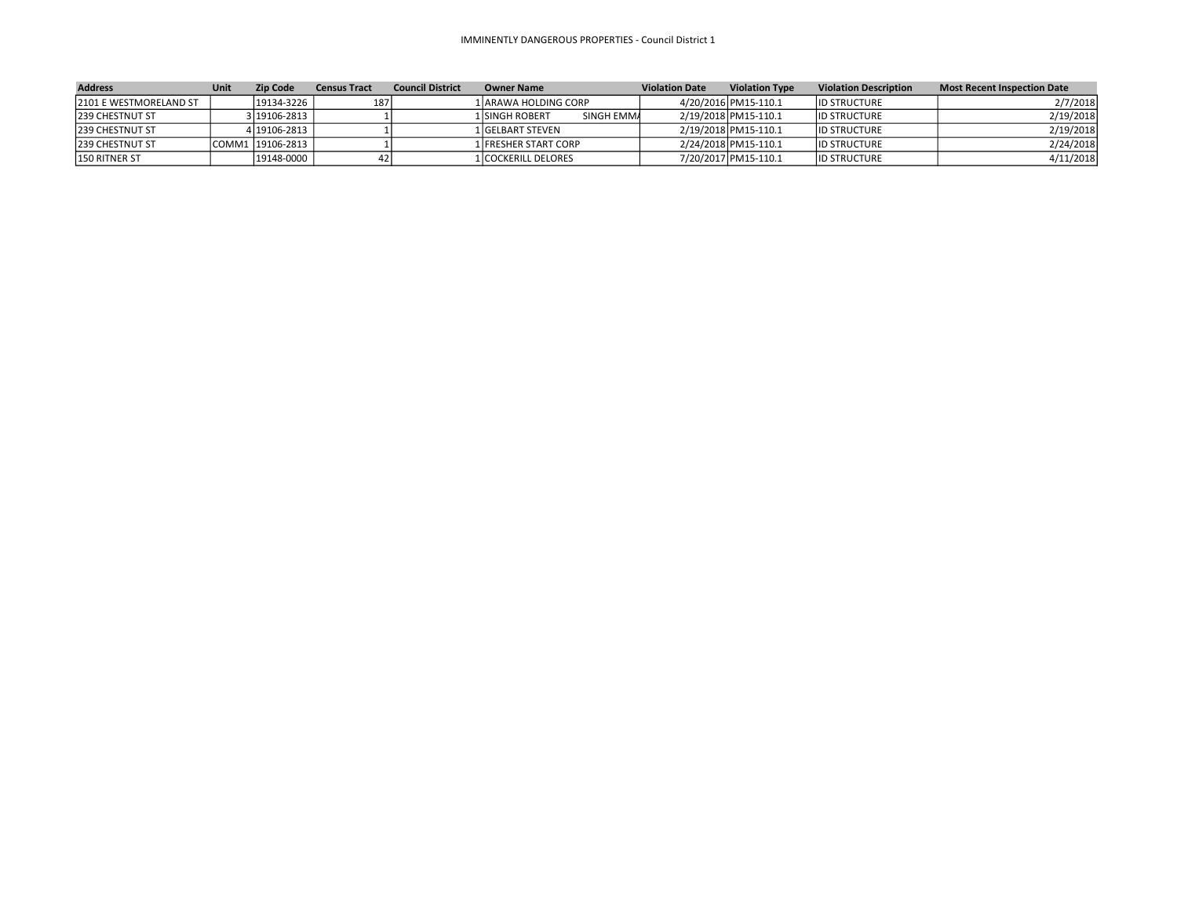## IMMINENTLY DANGEROUS PROPERTIES - Council District 1

| <b>Address</b>          | Unit | <b>Zip Code</b>   | <b>Census Tract</b> | <b>Council District</b> | <b>Owner Name</b>             | <b>Violation Date</b> | <b>Violation Type</b> | <b>Violation Description</b> | <b>Most Recent Inspection Date</b> |
|-------------------------|------|-------------------|---------------------|-------------------------|-------------------------------|-----------------------|-----------------------|------------------------------|------------------------------------|
| 12101 E WESTMORELAND ST |      | $19134 - 3226$    | 187                 |                         | 1   ARAWA HOLDING CORP        |                       | 4/20/2016 PM15-110.1  | <b>ID STRUCTURE</b>          | 2/7/2018                           |
| 1239 CHESTNUT ST        |      | 3 19106-2813      |                     |                         | SINGH EMMA<br>1 ISINGH ROBERT |                       | 2/19/2018 PM15-110.1  | <b>ID STRUCTURE</b>          | 2/19/2018                          |
| <b>239 CHESTNUT ST</b>  |      | 4   19106-2813    |                     |                         | 1 GELBART STEVEN              |                       | 2/19/2018 PM15-110.1  | <b>ID STRUCTURE</b>          | 2/19/2018                          |
| <b>239 CHESTNUT ST</b>  |      | COMM1  19106-2813 |                     |                         | 1 I FRESHER START CORP        |                       | 2/24/2018 PM15-110.1  | <b>ID STRUCTURE</b>          | 2/24/2018                          |
| 150 RITNER ST           |      | $ 19148 - 0000 $  |                     |                         | 1   COCKERILL DELORES         |                       | 7/20/2017 PM15-110.1  | <b>ID STRUCTURE</b>          | 4/11/2018                          |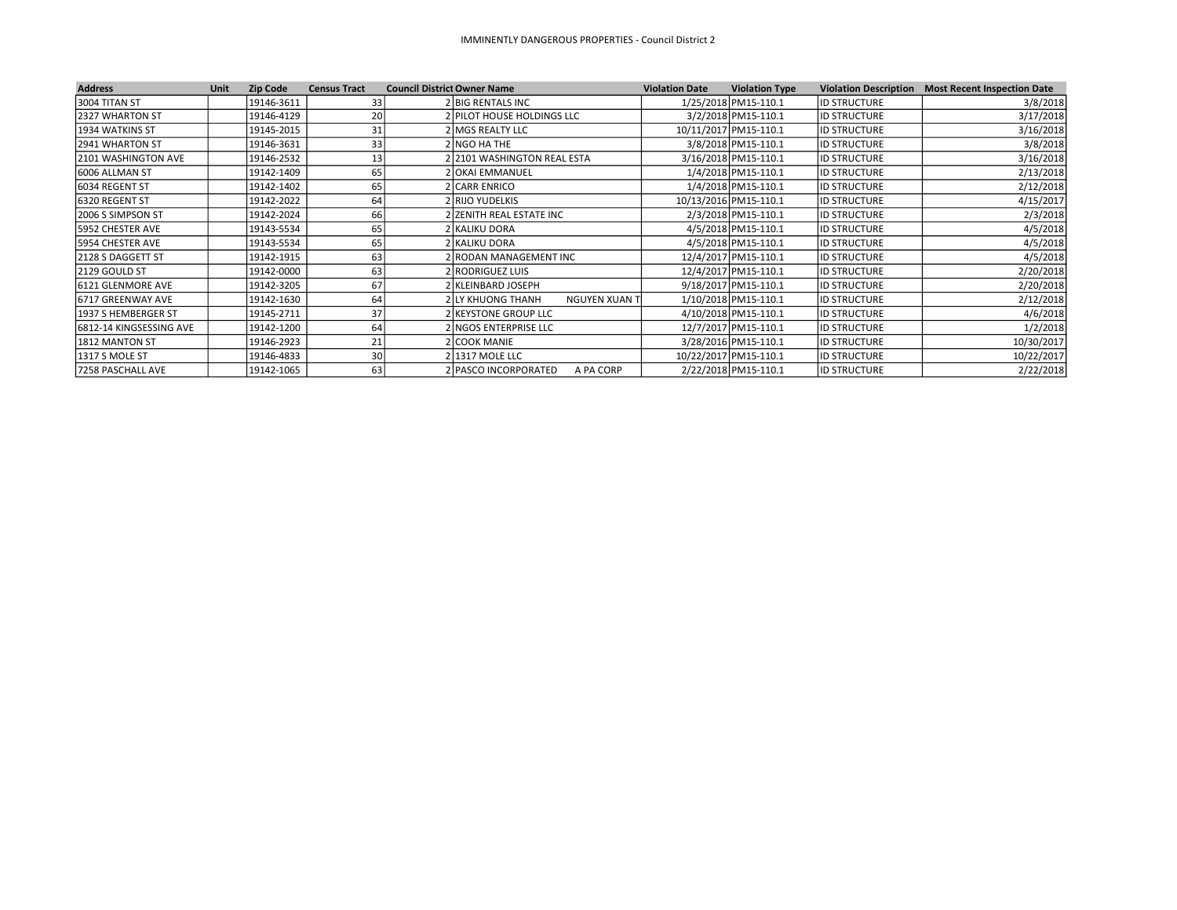| <b>Address</b>             | <b>Unit</b> | <b>Zip Code</b> | <b>Census Tract</b> | <b>Council District Owner Name</b>        | <b>Violation Date</b> | <b>Violation Type</b> |                     | Violation Description Most Recent Inspection Date |
|----------------------------|-------------|-----------------|---------------------|-------------------------------------------|-----------------------|-----------------------|---------------------|---------------------------------------------------|
| 3004 TITAN ST              |             | 19146-3611      | 33                  | 2 BIG RENTALS INC                         |                       | 1/25/2018 PM15-110.1  | <b>ID STRUCTURE</b> | 3/8/2018                                          |
| 2327 WHARTON ST            |             | 19146-4129      | 20                  | 2 PILOT HOUSE HOLDINGS LLC                |                       | 3/2/2018 PM15-110.1   | <b>ID STRUCTURE</b> | 3/17/2018                                         |
| 1934 WATKINS ST            |             | 19145-2015      | 31                  | 2 MGS REALTY LLC                          |                       | 10/11/2017 PM15-110.1 | <b>ID STRUCTURE</b> | 3/16/2018                                         |
| 2941 WHARTON ST            |             | 19146-3631      | 33                  | 2 NGO HA THE                              |                       | 3/8/2018 PM15-110.1   | <b>ID STRUCTURE</b> | 3/8/2018                                          |
| <b>2101 WASHINGTON AVE</b> |             | 19146-2532      | 13                  | 2 2101 WASHINGTON REAL ESTA               |                       | 3/16/2018 PM15-110.1  | <b>ID STRUCTURE</b> | 3/16/2018                                         |
| 6006 ALLMAN ST             |             | 19142-1409      | 65                  | 2 OKAI EMMANUEL                           |                       | 1/4/2018 PM15-110.1   | <b>ID STRUCTURE</b> | 2/13/2018                                         |
| 6034 REGENT ST             |             | 19142-1402      | 65                  | 2 CARR ENRICO                             |                       | 1/4/2018 PM15-110.1   | <b>ID STRUCTURE</b> | 2/12/2018                                         |
| 6320 REGENT ST             |             | 19142-2022      | 64                  | 2 RIJO YUDELKIS                           |                       | 10/13/2016 PM15-110.1 | <b>ID STRUCTURE</b> | 4/15/2017                                         |
| 2006 S SIMPSON ST          |             | 19142-2024      | 66                  | 2 ZENITH REAL ESTATE INC                  |                       | 2/3/2018 PM15-110.1   | <b>ID STRUCTURE</b> | 2/3/2018                                          |
| 15952 CHESTER AVE          |             | 19143-5534      | 65                  | 2 KALIKU DORA                             |                       | 4/5/2018 PM15-110.1   | <b>ID STRUCTURE</b> | 4/5/2018                                          |
| 5954 CHESTER AVE           |             | 19143-5534      | 65                  | 2 KALIKU DORA                             |                       | 4/5/2018 PM15-110.1   | <b>ID STRUCTURE</b> | 4/5/2018                                          |
| 2128 S DAGGETT ST          |             | 19142-1915      | 63                  | 2 RODAN MANAGEMENT INC                    |                       | 12/4/2017 PM15-110.1  | <b>ID STRUCTURE</b> | 4/5/2018                                          |
| 2129 GOULD ST              |             | 19142-0000      | 63                  | 2 RODRIGUEZ LUIS                          |                       | 12/4/2017 PM15-110.1  | <b>ID STRUCTURE</b> | 2/20/2018                                         |
| 6121 GLENMORE AVE          |             | 19142-3205      | 67                  | 2 KLEINBARD JOSEPH                        |                       | 9/18/2017 PM15-110.1  | <b>ID STRUCTURE</b> | 2/20/2018                                         |
| 16717 GREENWAY AVE         |             | 19142-1630      | 64                  | 2 LY KHUONG THANH<br><b>NGUYEN XUAN T</b> |                       | 1/10/2018 PM15-110.1  | <b>ID STRUCTURE</b> | 2/12/2018                                         |
| 1937 S HEMBERGER ST        |             | 19145-2711      | 37                  | 2 KEYSTONE GROUP LLC                      |                       | 4/10/2018 PM15-110.1  | <b>ID STRUCTURE</b> | 4/6/2018                                          |
| 6812-14 KINGSESSING AVE    |             | 19142-1200      | 64                  | 2 INGOS ENTERPRISE LLC                    |                       | 12/7/2017 PM15-110.1  | <b>ID STRUCTURE</b> | 1/2/2018                                          |
| 1812 MANTON ST             |             | 19146-2923      |                     | 2 COOK MANIE                              |                       | 3/28/2016 PM15-110.1  | <b>ID STRUCTURE</b> | 10/30/2017                                        |
| 1317 S MOLE ST             |             | 19146-4833      | 30 <sup>1</sup>     | 2 1317 MOLE LLC                           |                       | 10/22/2017 PM15-110.1 | <b>ID STRUCTURE</b> | 10/22/2017                                        |
| 7258 PASCHALL AVE          |             | 19142-1065      | 63                  | 2 PASCO INCORPORATED<br>A PA CORP         |                       | 2/22/2018 PM15-110.1  | <b>ID STRUCTURE</b> | 2/22/2018                                         |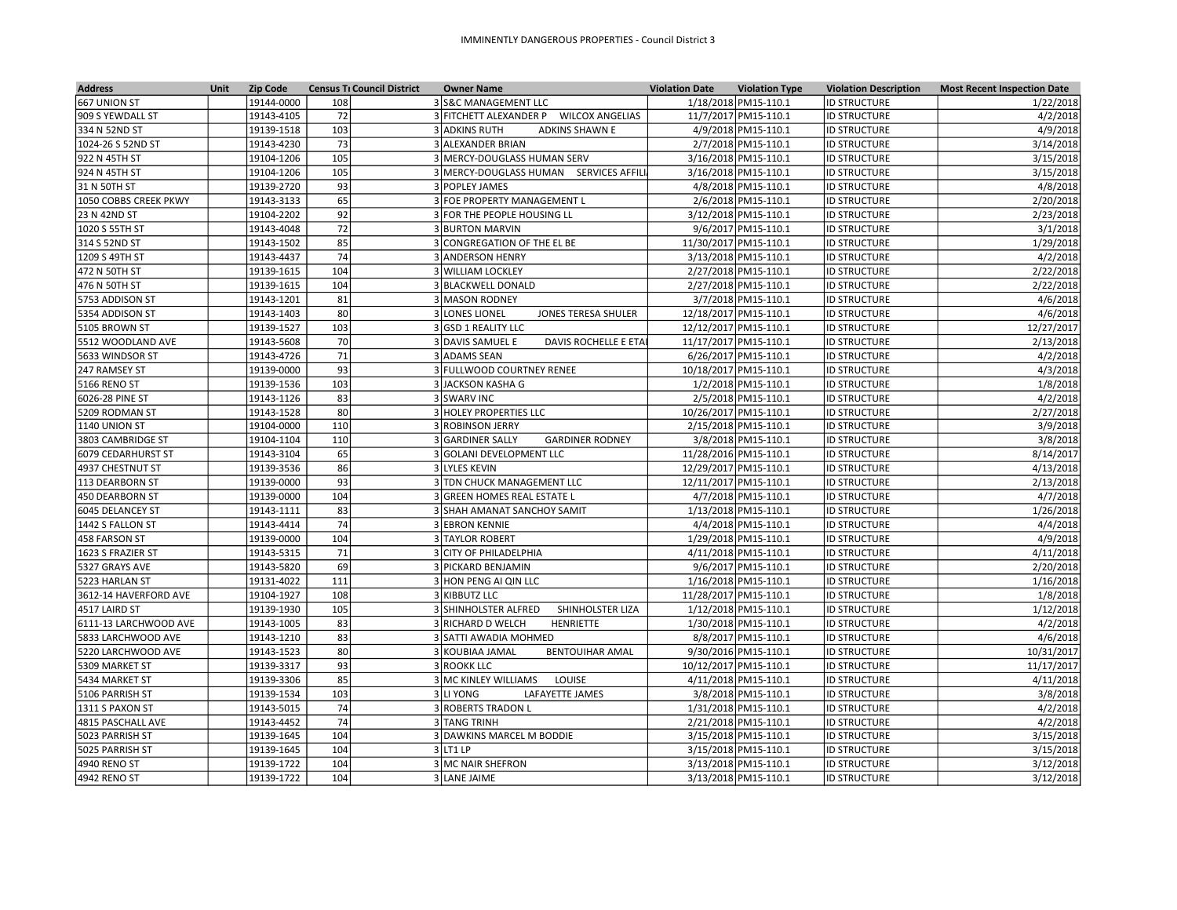| <b>Address</b>                       | <b>Unit</b> | <b>Zip Code</b> | <b>Census TI Council District</b> | <b>Owner Name</b>                             | <b>Violation Date</b> | <b>Violation Type</b> | <b>Violation Description</b> | <b>Most Recent Inspection Date</b> |
|--------------------------------------|-------------|-----------------|-----------------------------------|-----------------------------------------------|-----------------------|-----------------------|------------------------------|------------------------------------|
| 667 UNION ST                         |             | 19144-0000      | 108                               | 3 S&C MANAGEMENT LLC                          |                       | 1/18/2018 PM15-110.1  | <b>ID STRUCTURE</b>          | 1/22/2018                          |
| 909 S YEWDALL ST                     |             | 19143-4105      | 72                                | 3 FITCHETT ALEXANDER P WILCOX ANGELIAS        |                       | 11/7/2017 PM15-110.1  | <b>ID STRUCTURE</b>          | 4/2/2018                           |
| 334 N 52ND ST                        |             | 19139-1518      | 103                               | <b>ADKINS SHAWN E</b><br><b>3 ADKINS RUTH</b> |                       | 4/9/2018 PM15-110.1   | <b>ID STRUCTURE</b>          | 4/9/2018                           |
| 1024-26 S 52ND ST                    |             | 19143-4230      | 73                                | 3 ALEXANDER BRIAN                             |                       | 2/7/2018 PM15-110.1   | <b>ID STRUCTURE</b>          | 3/14/2018                          |
| 922 N 45TH ST                        |             | 19104-1206      | 105                               | 3 MERCY-DOUGLASS HUMAN SERV                   |                       | 3/16/2018 PM15-110.1  | <b>ID STRUCTURE</b>          | 3/15/2018                          |
| 924 N 45TH ST                        |             | 19104-1206      | 105                               | 3 MERCY-DOUGLASS HUMAN SERVICES AFFILI        |                       | 3/16/2018 PM15-110.1  | <b>ID STRUCTURE</b>          | 3/15/2018                          |
| 31 N 50TH ST                         |             | 19139-2720      | 93                                | 3 POPLEY JAMES                                |                       | 4/8/2018 PM15-110.1   | <b>ID STRUCTURE</b>          | 4/8/2018                           |
| 1050 COBBS CREEK PKWY                |             | 19143-3133      | 65                                | 3 FOE PROPERTY MANAGEMENT L                   |                       | 2/6/2018 PM15-110.1   | <b>ID STRUCTURE</b>          | 2/20/2018                          |
| 23 N 42ND ST                         |             | 19104-2202      | 92                                | 3 FOR THE PEOPLE HOUSING LL                   |                       | 3/12/2018 PM15-110.1  | <b>ID STRUCTURE</b>          | 2/23/2018                          |
| 1020 S 55TH ST                       |             | 19143-4048      | 72                                | <b>3 BURTON MARVIN</b>                        |                       | 9/6/2017 PM15-110.1   | <b>ID STRUCTURE</b>          | 3/1/2018                           |
| 314 S 52ND ST                        |             | 19143-1502      | 85                                | 3 CONGREGATION OF THE EL BE                   |                       | 11/30/2017 PM15-110.1 | <b>ID STRUCTURE</b>          | 1/29/2018                          |
| 1209 S 49TH ST                       |             | 19143-4437      | 74                                | 3 ANDERSON HENRY                              |                       | 3/13/2018 PM15-110.1  | <b>ID STRUCTURE</b>          | 4/2/2018                           |
| 472 N 50TH ST                        |             | 19139-1615      | 104                               | 3 WILLIAM LOCKLEY                             |                       | 2/27/2018 PM15-110.1  | <b>ID STRUCTURE</b>          | 2/22/2018                          |
| 476 N 50TH ST                        |             | 19139-1615      | 104                               | 3 BLACKWELL DONALD                            |                       | 2/27/2018 PM15-110.1  | <b>ID STRUCTURE</b>          | 2/22/2018                          |
| 5753 ADDISON ST                      |             | 19143-1201      | 81                                | 3 MASON RODNEY                                |                       | 3/7/2018 PM15-110.1   | <b>ID STRUCTURE</b>          | 4/6/2018                           |
| 5354 ADDISON ST                      |             | 19143-1403      | 80                                | <b>JONES TERESA SHULER</b><br>3 LONES LIONEL  |                       | 12/18/2017 PM15-110.1 | <b>ID STRUCTURE</b>          | 4/6/2018                           |
| 5105 BROWN ST                        |             | 19139-1527      | 103                               | 3 GSD 1 REALITY LLC                           |                       | 12/12/2017 PM15-110.1 | <b>ID STRUCTURE</b>          | 12/27/2017                         |
| 5512 WOODLAND AVE                    |             | 19143-5608      | 70                                | 3 DAVIS SAMUEL E<br>DAVIS ROCHELLE E ETAI     |                       | 11/17/2017 PM15-110.1 | <b>ID STRUCTURE</b>          | 2/13/2018                          |
| 5633 WINDSOR ST                      |             | 19143-4726      | 71                                | 3 ADAMS SEAN                                  |                       | 6/26/2017 PM15-110.1  | <b>ID STRUCTURE</b>          | 4/2/2018                           |
| 247 RAMSEY ST                        |             | 19139-0000      | 93                                | 3 FULLWOOD COURTNEY RENEE                     |                       | 10/18/2017 PM15-110.1 | <b>ID STRUCTURE</b>          | 4/3/2018                           |
| 5166 RENO ST                         |             | 19139-1536      | 103                               | 3 JACKSON KASHA G                             |                       | 1/2/2018 PM15-110.1   | <b>ID STRUCTURE</b>          | 1/8/2018                           |
| 6026-28 PINE ST                      |             | 19143-1126      | 83                                | 3 SWARV INC                                   |                       | 2/5/2018 PM15-110.1   | <b>ID STRUCTURE</b>          | 4/2/2018                           |
| 5209 RODMAN ST                       |             | 19143-1528      | 80                                | 3 HOLEY PROPERTIES LLC                        |                       | 10/26/2017 PM15-110.1 | <b>ID STRUCTURE</b>          | 2/27/2018                          |
| 1140 UNION ST                        |             | 19104-0000      | 110                               | 3 ROBINSON JERRY                              |                       | 2/15/2018 PM15-110.1  | <b>ID STRUCTURE</b>          | 3/9/2018                           |
| 3803 CAMBRIDGE ST                    |             | 19104-1104      | 110                               | 3 GARDINER SALLY<br><b>GARDINER RODNEY</b>    |                       | 3/8/2018 PM15-110.1   | <b>ID STRUCTURE</b>          | 3/8/2018                           |
| 6079 CEDARHURST ST                   |             | 19143-3104      | 65                                | 3 GOLANI DEVELOPMENT LLC                      |                       | 11/28/2016 PM15-110.1 | <b>ID STRUCTURE</b>          | 8/14/2017                          |
| 4937 CHESTNUT ST                     |             | 19139-3536      | 86                                | 3 LYLES KEVIN                                 |                       | 12/29/2017 PM15-110.1 | <b>ID STRUCTURE</b>          | 4/13/2018                          |
| 113 DEARBORN ST                      |             | 19139-0000      | 93                                | 3 TDN CHUCK MANAGEMENT LLC                    |                       | 12/11/2017 PM15-110.1 | <b>ID STRUCTURE</b>          | 2/13/2018                          |
| 450 DEARBORN ST                      |             | 19139-0000      | 104                               | 3 GREEN HOMES REAL ESTATE L                   |                       | 4/7/2018 PM15-110.1   | <b>ID STRUCTURE</b>          | 4/7/2018                           |
| 6045 DELANCEY ST                     |             | 19143-1111      | 83                                | 3 SHAH AMANAT SANCHOY SAMIT                   |                       | 1/13/2018 PM15-110.1  | <b>ID STRUCTURE</b>          | 1/26/2018                          |
| 1442 S FALLON ST                     |             | 19143-4414      | 74                                | 3 EBRON KENNIE                                |                       | 4/4/2018 PM15-110.1   | <b>ID STRUCTURE</b>          | 4/4/2018                           |
| 458 FARSON ST                        |             | 19139-0000      | 104                               | 3 TAYLOR ROBERT                               |                       | 1/29/2018 PM15-110.1  | <b>ID STRUCTURE</b>          | 4/9/2018                           |
| 1623 S FRAZIER ST                    |             | 19143-5315      | 71                                | 3 CITY OF PHILADELPHIA                        |                       | 4/11/2018 PM15-110.1  | <b>ID STRUCTURE</b>          | 4/11/2018                          |
| 5327 GRAYS AVE                       |             | 19143-5820      | 69                                | 3 PICKARD BENJAMIN                            |                       | 9/6/2017 PM15-110.1   | <b>ID STRUCTURE</b>          | 2/20/2018                          |
| 5223 HARLAN ST                       |             | 19131-4022      | 111                               | 3 HON PENG AI QIN LLC                         |                       | 1/16/2018 PM15-110.1  | <b>ID STRUCTURE</b>          | 1/16/2018                          |
| 3612-14 HAVERFORD AVE                |             | 19104-1927      | 108                               | 3 KIBBUTZ LLC                                 |                       | 11/28/2017 PM15-110.1 | <b>ID STRUCTURE</b>          | 1/8/2018                           |
| 4517 LAIRD ST                        |             | 19139-1930      | 105                               | 3 SHINHOLSTER ALFRED<br>SHINHOLSTER LIZA      |                       | 1/12/2018 PM15-110.1  | <b>ID STRUCTURE</b>          | 1/12/2018                          |
| 6111-13 LARCHWOOD AVE                |             | 19143-1005      | 83                                | 3 RICHARD D WELCH<br>HENRIETTE                |                       | 1/30/2018 PM15-110.1  | <b>ID STRUCTURE</b>          | 4/2/2018                           |
| 5833 LARCHWOOD AVE                   |             | 19143-1210      | 83                                | 3 SATTI AWADIA MOHMED                         |                       | 8/8/2017 PM15-110.1   | <b>ID STRUCTURE</b>          | 4/6/2018                           |
|                                      |             | 19143-1523      | 80                                | 3 KOUBIAA JAMAL<br><b>BENTOUIHAR AMAL</b>     |                       | 9/30/2016 PM15-110.1  | <b>ID STRUCTURE</b>          | 10/31/2017                         |
| 5220 LARCHWOOD AVE<br>5309 MARKET ST |             | 19139-3317      | 93                                | 3 ROOKK LLC                                   |                       | 10/12/2017 PM15-110.1 | <b>ID STRUCTURE</b>          | 11/17/2017                         |
|                                      |             | 19139-3306      | 85                                | 3 MC KINLEY WILLIAMS<br>LOUISE                |                       |                       | <b>ID STRUCTURE</b>          | 4/11/2018                          |
| 5434 MARKET ST                       |             |                 |                                   |                                               |                       | 4/11/2018 PM15-110.1  |                              |                                    |
| 5106 PARRISH ST                      |             | 19139-1534      | 103                               | 3 LI YONG<br>LAFAYETTE JAMES                  |                       | 3/8/2018 PM15-110.1   | <b>ID STRUCTURE</b>          | 3/8/2018                           |
| 1311 S PAXON ST                      |             | 19143-5015      | 74<br>74                          | 3 ROBERTS TRADON L                            |                       | 1/31/2018 PM15-110.1  | <b>ID STRUCTURE</b>          | 4/2/2018                           |
| 4815 PASCHALL AVE                    |             | 19143-4452      |                                   | 3 TANG TRINH                                  |                       | 2/21/2018 PM15-110.1  | <b>ID STRUCTURE</b>          | 4/2/2018                           |
| 5023 PARRISH ST                      |             | 19139-1645      | 104                               | 3 DAWKINS MARCEL M BODDIE                     |                       | 3/15/2018 PM15-110.1  | <b>ID STRUCTURE</b>          | 3/15/2018                          |
| 5025 PARRISH ST                      |             | 19139-1645      | 104                               | $3$ LT1 LP                                    |                       | 3/15/2018 PM15-110.1  | <b>ID STRUCTURE</b>          | 3/15/2018                          |
| 4940 RENO ST                         |             | 19139-1722      | 104                               | 3 MC NAIR SHEFRON                             |                       | 3/13/2018 PM15-110.1  | <b>ID STRUCTURE</b>          | 3/12/2018                          |
| 4942 RENO ST                         |             | 19139-1722      | 104                               | 3 LANE JAIME                                  |                       | 3/13/2018 PM15-110.1  | <b>ID STRUCTURE</b>          | 3/12/2018                          |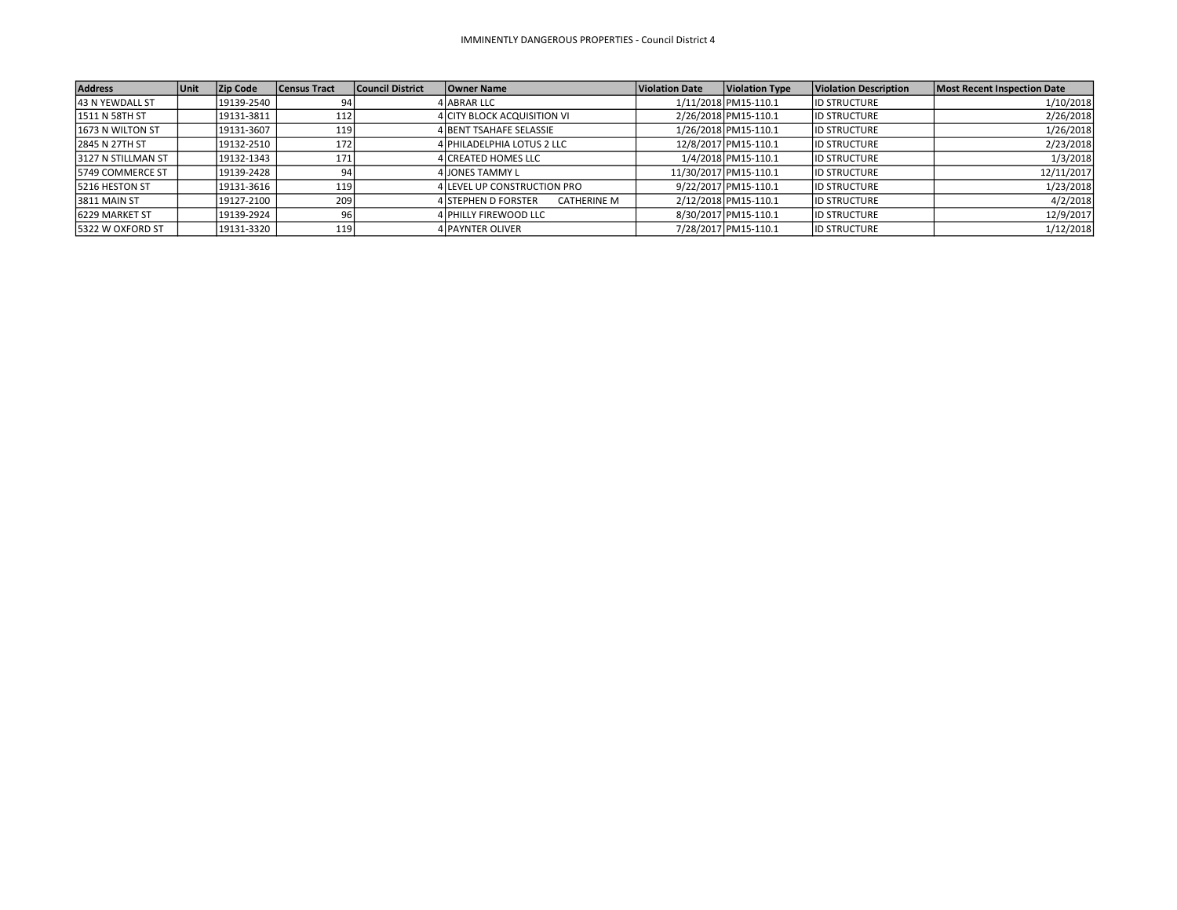| <b>Address</b>     | <b>Unit</b> | <b>Zip Code</b> | <b>Census Tract</b> | Council District | Owner Name                                       | <b>Violation Date</b> | <b>Violation Type</b> | <b>Violation Description</b> | Most Recent Inspection Date |
|--------------------|-------------|-----------------|---------------------|------------------|--------------------------------------------------|-----------------------|-----------------------|------------------------------|-----------------------------|
| 43 N YEWDALL ST    |             | 19139-2540      |                     |                  | 4 ABRAR LLC                                      |                       | 1/11/2018 PM15-110.1  | <b>ID STRUCTURE</b>          | 1/10/2018                   |
| 1511 N 58TH ST     |             | 19131-3811      | 112                 |                  | 4 CITY BLOCK ACQUISITION VI                      |                       | 2/26/2018 PM15-110.1  | <b>ID STRUCTURE</b>          | 2/26/2018                   |
| 1673 N WILTON ST   |             | 19131-3607      | 119                 |                  | 4 BENT TSAHAFE SELASSIE                          |                       | 1/26/2018 PM15-110.1  | <b>ID STRUCTURE</b>          | 1/26/2018                   |
| 2845 N 27TH ST     |             | 19132-2510      | 172                 |                  | 4 PHILADELPHIA LOTUS 2 LLC                       |                       | 12/8/2017 PM15-110.1  | <b>ID STRUCTURE</b>          | 2/23/2018                   |
| 3127 N STILLMAN ST |             | 19132-1343      | 171                 |                  | 4 CREATED HOMES LLC                              |                       | 1/4/2018 PM15-110.1   | <b>ID STRUCTURE</b>          | 1/3/2018                    |
| 5749 COMMERCE ST   |             | 19139-2428      | 94                  |                  | 4 JONES TAMMY L                                  |                       | 11/30/2017 PM15-110.1 | <b>ID STRUCTURE</b>          | 12/11/2017                  |
| 5216 HESTON ST     |             | 19131-3616      | 119                 |                  | 4 LEVEL UP CONSTRUCTION PRO                      |                       | 9/22/2017 PM15-110.1  | <b>ID STRUCTURE</b>          | 1/23/2018                   |
| 3811 MAIN ST       |             | 19127-2100      | 209                 |                  | <b>4 STEPHEN D FORSTER</b><br><b>CATHERINE M</b> |                       | 2/12/2018 PM15-110.1  | <b>ID STRUCTURE</b>          | 4/2/2018                    |
| 6229 MARKET ST     |             | 19139-2924      | 96                  |                  | 4 PHILLY FIREWOOD LLC                            |                       | 8/30/2017 PM15-110.1  | <b>ID STRUCTURE</b>          | 12/9/2017                   |
| 5322 W OXFORD ST   |             | 19131-3320      | 119                 |                  | <b>4 PAYNTER OLIVER</b>                          |                       | 7/28/2017 PM15-110.1  | <b>ID STRUCTURE</b>          | 1/12/2018                   |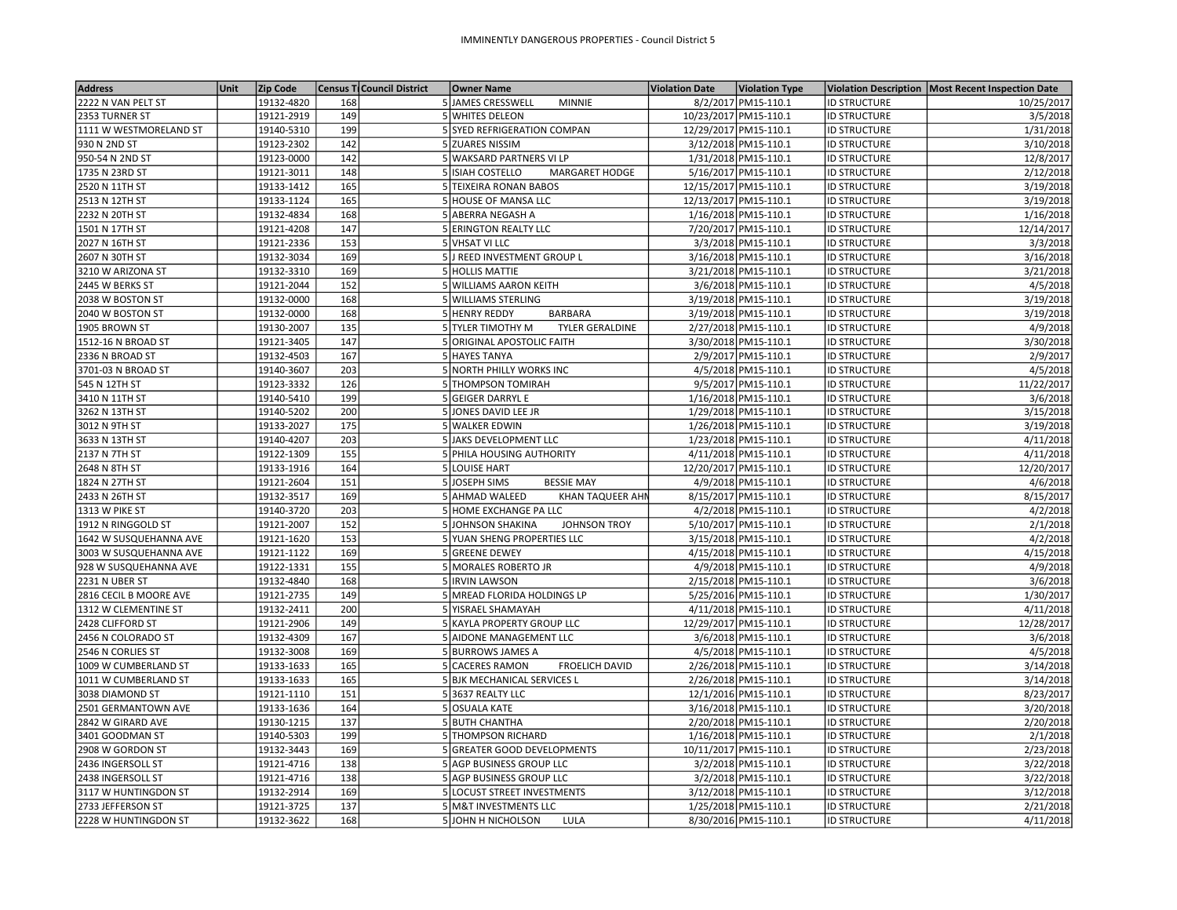| <b>Address</b>         | Unit | Zip Code   |     | Census Ti Council District | <b>Owner Name</b>                         | <b>Violation Date</b> | <b>Violation Type</b> |                     | Violation Description   Most Recent Inspection Date |
|------------------------|------|------------|-----|----------------------------|-------------------------------------------|-----------------------|-----------------------|---------------------|-----------------------------------------------------|
| 2222 N VAN PELT ST     |      | 19132-4820 | 168 |                            | 5JAMES CRESSWELL<br><b>MINNIE</b>         |                       | 8/2/2017 PM15-110.1   | <b>ID STRUCTURE</b> | 10/25/2017                                          |
| 2353 TURNER ST         |      | 19121-2919 | 149 |                            | 5 WHITES DELEON                           |                       | 10/23/2017 PM15-110.1 | <b>ID STRUCTURE</b> | 3/5/2018                                            |
| 1111 W WESTMORELAND ST |      | 19140-5310 | 199 |                            | 5 SYED REFRIGERATION COMPAN               |                       | 12/29/2017 PM15-110.1 | <b>ID STRUCTURE</b> | 1/31/2018                                           |
| 930 N 2ND ST           |      | 19123-2302 | 142 |                            | 5 ZUARES NISSIM                           |                       | 3/12/2018 PM15-110.1  | <b>ID STRUCTURE</b> | 3/10/2018                                           |
| 950-54 N 2ND ST        |      | 19123-0000 | 142 |                            | 5 WAKSARD PARTNERS VI LP                  |                       | 1/31/2018 PM15-110.1  | <b>ID STRUCTURE</b> | 12/8/2017                                           |
| 1735 N 23RD ST         |      | 19121-3011 | 148 |                            | 5 ISIAH COSTELLO<br><b>MARGARET HODGE</b> |                       | 5/16/2017 PM15-110.1  | <b>ID STRUCTURE</b> | 2/12/2018                                           |
| 2520 N 11TH ST         |      | 19133-1412 | 165 |                            | 5 TEIXEIRA RONAN BABOS                    |                       | 12/15/2017 PM15-110.1 | <b>ID STRUCTURE</b> | 3/19/2018                                           |
| 2513 N 12TH ST         |      | 19133-1124 | 165 |                            | 5 HOUSE OF MANSA LLC                      |                       | 12/13/2017 PM15-110.1 | <b>ID STRUCTURE</b> | 3/19/2018                                           |
| 2232 N 20TH ST         |      | 19132-4834 | 168 |                            | 5 ABERRA NEGASH A                         |                       | 1/16/2018 PM15-110.1  | <b>ID STRUCTURE</b> | 1/16/2018                                           |
| 1501 N 17TH ST         |      | 19121-4208 | 147 |                            | 5 ERINGTON REALTY LLC                     |                       | 7/20/2017 PM15-110.1  | <b>ID STRUCTURE</b> | 12/14/2017                                          |
| 2027 N 16TH ST         |      | 19121-2336 | 153 |                            | 5 VHSAT VI LLC                            |                       | 3/3/2018 PM15-110.1   | <b>ID STRUCTURE</b> | 3/3/2018                                            |
| 2607 N 30TH ST         |      | 19132-3034 | 169 |                            | 5 J REED INVESTMENT GROUP L               |                       | 3/16/2018 PM15-110.1  | <b>ID STRUCTURE</b> | 3/16/2018                                           |
| 3210 W ARIZONA ST      |      | 19132-3310 | 169 |                            | 5 HOLLIS MATTIE                           |                       | 3/21/2018 PM15-110.1  | <b>ID STRUCTURE</b> | 3/21/2018                                           |
| 2445 W BERKS ST        |      | 19121-2044 | 152 |                            | 5 WILLIAMS AARON KEITH                    |                       | 3/6/2018 PM15-110.1   | <b>ID STRUCTURE</b> | 4/5/2018                                            |
| 2038 W BOSTON ST       |      | 19132-0000 | 168 |                            | 5 WILLIAMS STERLING                       |                       | 3/19/2018 PM15-110.1  | <b>ID STRUCTURE</b> | 3/19/2018                                           |
| 2040 W BOSTON ST       |      | 19132-0000 | 168 |                            | <b>BARBARA</b><br>5 HENRY REDDY           |                       | 3/19/2018 PM15-110.1  | <b>ID STRUCTURE</b> | 3/19/2018                                           |
| 1905 BROWN ST          |      | 19130-2007 | 135 |                            | 5 TYLER TIMOTHY M<br>TYLER GERALDINE      |                       | 2/27/2018 PM15-110.1  | <b>ID STRUCTURE</b> | 4/9/2018                                            |
| 1512-16 N BROAD ST     |      | 19121-3405 | 147 |                            | 5 ORIGINAL APOSTOLIC FAITH                |                       | 3/30/2018 PM15-110.1  | <b>ID STRUCTURE</b> | 3/30/2018                                           |
| 2336 N BROAD ST        |      | 19132-4503 | 167 |                            | 5 HAYES TANYA                             |                       | 2/9/2017 PM15-110.1   | <b>ID STRUCTURE</b> | 2/9/2017                                            |
| 3701-03 N BROAD ST     |      | 19140-3607 | 203 |                            | 5 NORTH PHILLY WORKS INC                  |                       | 4/5/2018 PM15-110.1   | <b>ID STRUCTURE</b> | 4/5/2018                                            |
| 545 N 12TH ST          |      | 19123-3332 | 126 |                            | 5 THOMPSON TOMIRAH                        |                       | 9/5/2017 PM15-110.1   | <b>ID STRUCTURE</b> | 11/22/2017                                          |
| 3410 N 11TH ST         |      | 19140-5410 | 199 |                            | 5 GEIGER DARRYL E                         |                       | 1/16/2018 PM15-110.1  | <b>ID STRUCTURE</b> | 3/6/2018                                            |
| 3262 N 13TH ST         |      | 19140-5202 | 200 |                            | 5 JONES DAVID LEE JR                      |                       | 1/29/2018 PM15-110.1  | <b>ID STRUCTURE</b> | 3/15/2018                                           |
| 3012 N 9TH ST          |      | 19133-2027 | 175 |                            | 5 WALKER EDWIN                            |                       | 1/26/2018 PM15-110.1  | <b>ID STRUCTURE</b> | 3/19/2018                                           |
| 3633 N 13TH ST         |      | 19140-4207 | 203 |                            | 5 JAKS DEVELOPMENT LLC                    |                       | 1/23/2018 PM15-110.1  | <b>ID STRUCTURE</b> | 4/11/2018                                           |
| 2137 N 7TH ST          |      | 19122-1309 | 155 |                            | 5 PHILA HOUSING AUTHORITY                 |                       | 4/11/2018 PM15-110.1  | <b>ID STRUCTURE</b> | 4/11/2018                                           |
| 2648 N 8TH ST          |      | 19133-1916 | 164 |                            | 5 LOUISE HART                             |                       | 12/20/2017 PM15-110.1 | <b>ID STRUCTURE</b> | 12/20/2017                                          |
| 1824 N 27TH ST         |      | 19121-2604 | 151 |                            | 5 JOSEPH SIMS<br><b>BESSIE MAY</b>        |                       | 4/9/2018 PM15-110.1   | <b>ID STRUCTURE</b> | 4/6/2018                                            |
| 2433 N 26TH ST         |      | 19132-3517 | 169 |                            | 5 AHMAD WALEED<br>KHAN TAQUEER AHN        |                       | 8/15/2017 PM15-110.1  | <b>ID STRUCTURE</b> | 8/15/2017                                           |
| 1313 W PIKE ST         |      | 19140-3720 | 203 |                            | 5 HOME EXCHANGE PA LLC                    |                       | 4/2/2018 PM15-110.1   | <b>ID STRUCTURE</b> | 4/2/2018                                            |
| 1912 N RINGGOLD ST     |      | 19121-2007 | 152 |                            | 5 JOHNSON SHAKINA<br><b>JOHNSON TROY</b>  |                       | 5/10/2017 PM15-110.1  | <b>ID STRUCTURE</b> | 2/1/2018                                            |
| 1642 W SUSQUEHANNA AVE |      | 19121-1620 | 153 |                            | 5 YUAN SHENG PROPERTIES LLC               |                       | 3/15/2018 PM15-110.1  | <b>ID STRUCTURE</b> | 4/2/2018                                            |
| 3003 W SUSQUEHANNA AVE |      | 19121-1122 | 169 |                            | 5 GREENE DEWEY                            |                       | 4/15/2018 PM15-110.1  | <b>ID STRUCTURE</b> | 4/15/2018                                           |
| 928 W SUSQUEHANNA AVE  |      | 19122-1331 | 155 |                            | 5 MORALES ROBERTO JR                      |                       | 4/9/2018 PM15-110.1   | <b>ID STRUCTURE</b> | 4/9/2018                                            |
| 2231 N UBER ST         |      | 19132-4840 | 168 |                            | 5 <b>IRVIN LAWSON</b>                     |                       | 2/15/2018 PM15-110.1  | <b>ID STRUCTURE</b> | 3/6/2018                                            |
| 2816 CECIL B MOORE AVE |      | 19121-2735 | 149 |                            | 5 MREAD FLORIDA HOLDINGS LP               |                       | 5/25/2016 PM15-110.1  | <b>ID STRUCTURE</b> | 1/30/2017                                           |
| 1312 W CLEMENTINE ST   |      | 19132-2411 | 200 |                            | 5 YISRAEL SHAMAYAH                        |                       | 4/11/2018 PM15-110.1  | <b>ID STRUCTURE</b> | 4/11/2018                                           |
| 2428 CLIFFORD ST       |      | 19121-2906 | 149 |                            | 5 KAYLA PROPERTY GROUP LLC                |                       | 12/29/2017 PM15-110.1 | <b>ID STRUCTURE</b> | 12/28/2017                                          |
| 2456 N COLORADO ST     |      | 19132-4309 | 167 |                            | 5 AIDONE MANAGEMENT LLC                   |                       | 3/6/2018 PM15-110.1   | <b>ID STRUCTURE</b> | 3/6/2018                                            |
| 2546 N CORLIES ST      |      | 19132-3008 | 169 |                            | 5 BURROWS JAMES A                         |                       | 4/5/2018 PM15-110.1   | <b>ID STRUCTURE</b> | 4/5/2018                                            |
| 1009 W CUMBERLAND ST   |      | 19133-1633 | 165 |                            | 5 CACERES RAMON<br><b>FROELICH DAVID</b>  |                       | 2/26/2018 PM15-110.1  | <b>ID STRUCTURE</b> | 3/14/2018                                           |
| 1011 W CUMBERLAND ST   |      | 19133-1633 | 165 |                            | 5 BJK MECHANICAL SERVICES L               |                       | 2/26/2018 PM15-110.1  | <b>ID STRUCTURE</b> | 3/14/2018                                           |
| 3038 DIAMOND ST        |      | 19121-1110 | 151 |                            | 53637 REALTY LLC                          |                       | 12/1/2016 PM15-110.1  | <b>ID STRUCTURE</b> | 8/23/2017                                           |
| 2501 GERMANTOWN AVE    |      | 19133-1636 | 164 |                            | 5 OSUALA KATE                             |                       | 3/16/2018 PM15-110.1  | <b>ID STRUCTURE</b> | 3/20/2018                                           |
| 2842 W GIRARD AVE      |      | 19130-1215 | 137 |                            | 5 BUTH CHANTHA                            |                       | 2/20/2018 PM15-110.1  | <b>ID STRUCTURE</b> | 2/20/2018                                           |
| 3401 GOODMAN ST        |      | 19140-5303 | 199 |                            | 5 THOMPSON RICHARD                        |                       | 1/16/2018 PM15-110.1  | <b>ID STRUCTURE</b> | 2/1/2018                                            |
| 2908 W GORDON ST       |      | 19132-3443 | 169 |                            | 5 GREATER GOOD DEVELOPMENTS               |                       | 10/11/2017 PM15-110.1 | <b>ID STRUCTURE</b> | 2/23/2018                                           |
|                        |      |            | 138 |                            |                                           |                       |                       |                     |                                                     |
| 2436 INGERSOLL ST      |      | 19121-4716 | 138 |                            | 5 AGP BUSINESS GROUP LLC                  |                       | 3/2/2018 PM15-110.1   | <b>ID STRUCTURE</b> | 3/22/2018                                           |
| 2438 INGERSOLL ST      |      | 19121-4716 |     |                            | 5 AGP BUSINESS GROUP LLC                  |                       | 3/2/2018 PM15-110.1   | <b>ID STRUCTURE</b> | 3/22/2018                                           |
| 3117 W HUNTINGDON ST   |      | 19132-2914 | 169 |                            | 5 LOCUST STREET INVESTMENTS               |                       | 3/12/2018 PM15-110.1  | <b>ID STRUCTURE</b> | 3/12/2018                                           |
| 2733 JEFFERSON ST      |      | 19121-3725 | 137 |                            | 5 M&T INVESTMENTS LLC                     |                       | 1/25/2018 PM15-110.1  | <b>ID STRUCTURE</b> | 2/21/2018                                           |
| 2228 W HUNTINGDON ST   |      | 19132-3622 | 168 |                            | 5JOHN H NICHOLSON<br>LULA                 |                       | 8/30/2016 PM15-110.1  | <b>ID STRUCTURE</b> | 4/11/2018                                           |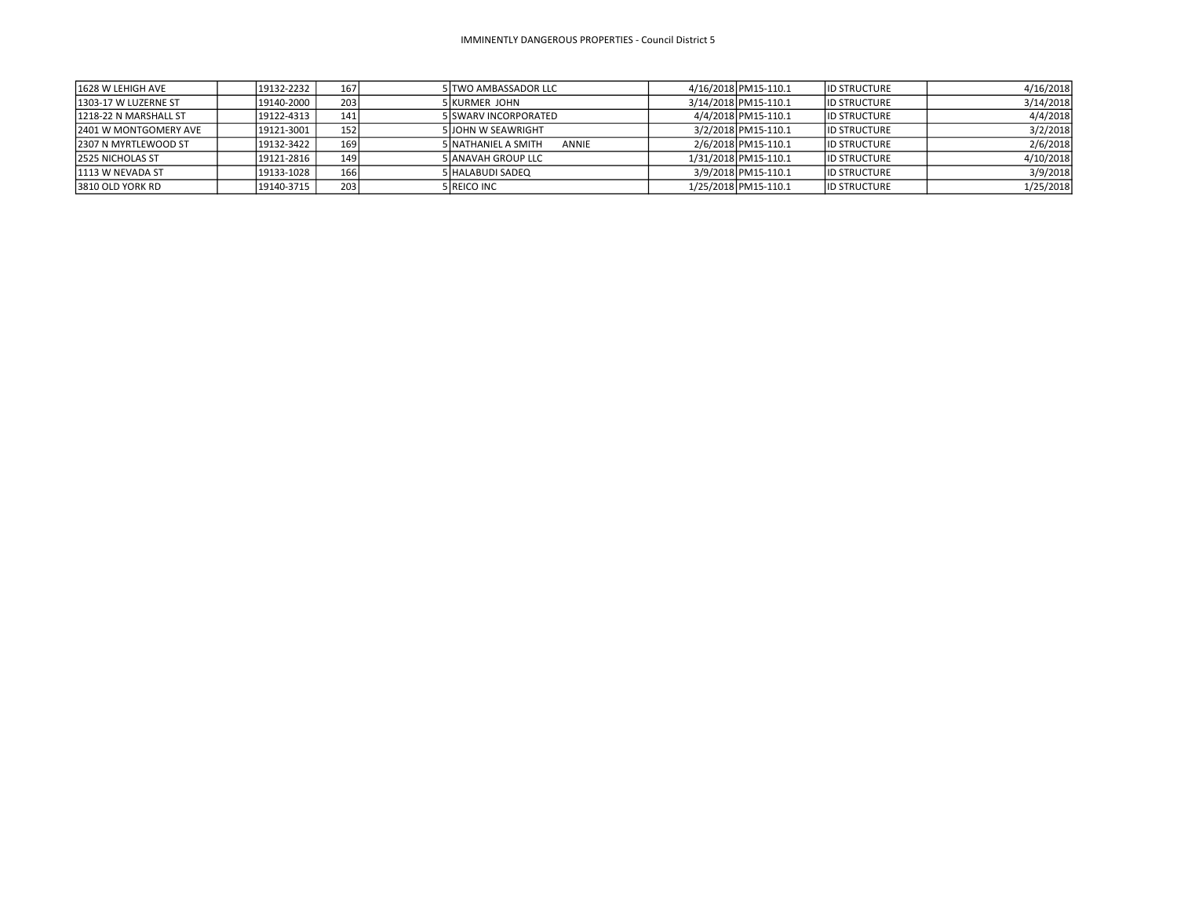| 1628 W LEHIGH AVE       | 19132-2232 | 167   | 5 TWO AMBASSADOR LLC          | 4/16/2018 PM15-110.1 | <b>ID STRUCTURE</b> | 4/16/2018 |
|-------------------------|------------|-------|-------------------------------|----------------------|---------------------|-----------|
| 1303-17 W LUZERNE ST    | 19140-2000 | 203   | <b>5 KURMER JOHN</b>          | 3/14/2018 PM15-110.1 | <b>ID STRUCTURE</b> | 3/14/2018 |
| 1218-22 N MARSHALL ST   | 19122-4313 | 141   | 5 SWARV INCORPORATED          | 4/4/2018 PM15-110.1  | <b>ID STRUCTURE</b> | 4/4/2018  |
| 2401 W MONTGOMERY AVE   | 19121-3001 | 152   | <b>5 JOHN W SEAWRIGHT</b>     | 3/2/2018 PM15-110.1  | <b>ID STRUCTURE</b> | 3/2/2018  |
| 12307 N MYRTLEWOOD ST   | 19132-3422 | 169   | 5 INATHANIEL A SMITH<br>ANNIE | 2/6/2018 PM15-110.1  | <b>ID STRUCTURE</b> | 2/6/2018  |
| <b>2525 NICHOLAS ST</b> | 19121-2816 | 149 l | <b>5 ANAVAH GROUP LLC</b>     | 1/31/2018 PM15-110.1 | <b>ID STRUCTURE</b> | 4/10/2018 |
| 1113 W NEVADA ST        | 19133-1028 | 166   | 5 HALABUDI SADEQ              | 3/9/2018 PM15-110.1  | <b>ID STRUCTURE</b> | 3/9/2018  |
| 3810 OLD YORK RD        | 19140-3715 | 203   | 5 REICO INC                   | 1/25/2018 PM15-110.1 | <b>ID STRUCTURE</b> | 1/25/2018 |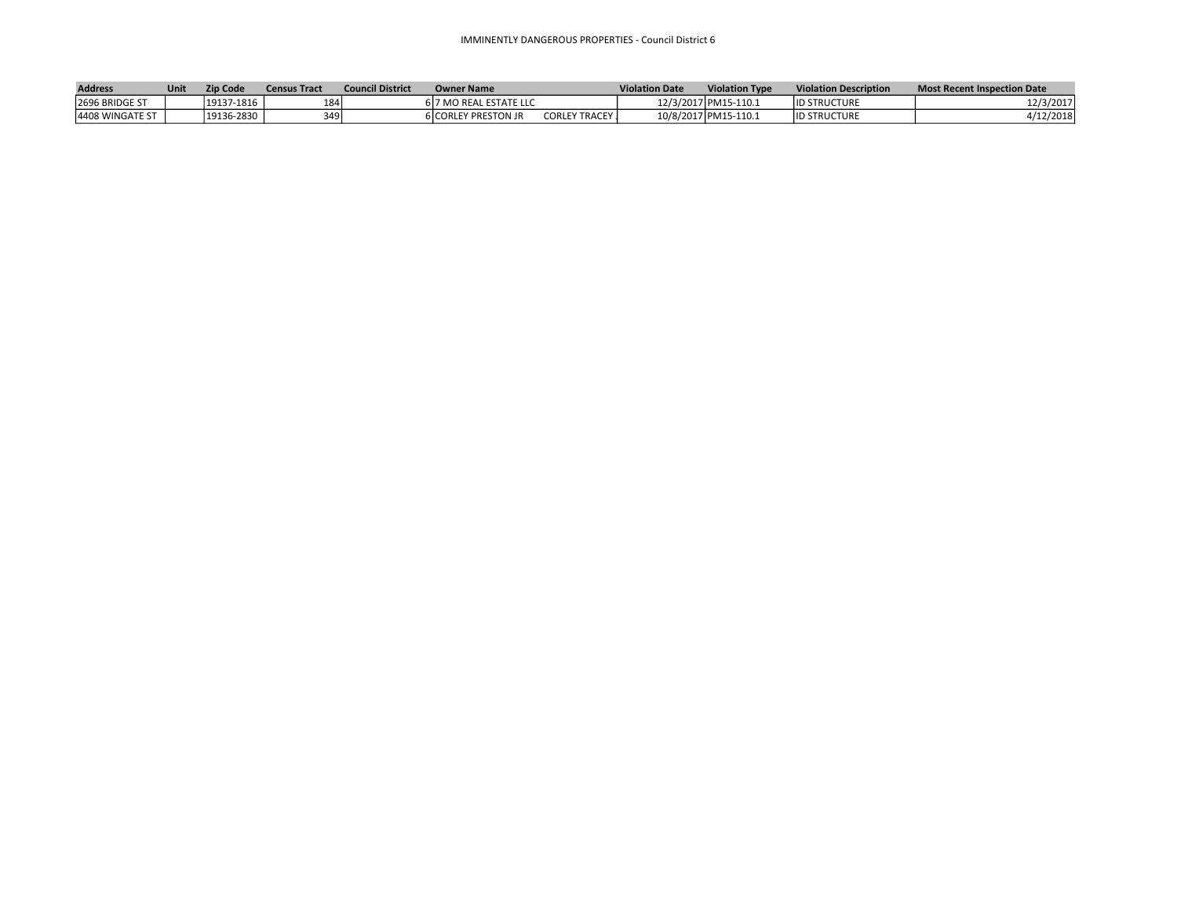## IMMINENTLY DANGEROUS PROPERTIES - Council District 6

| <b>Address</b>   | Unit | <b>Zip Code</b> | Census Tract | <b>Council District</b> | <b>Owner Name</b>          |                        | <b>Violation Date</b> | <b>Violation Type</b> | <b>Violation Description</b> | <b>Most Recent Inspection Date</b> |
|------------------|------|-----------------|--------------|-------------------------|----------------------------|------------------------|-----------------------|-----------------------|------------------------------|------------------------------------|
| 2696 BRIDGE ST   |      | 19137-1816      | 184          |                         | 6 7 MO REAL ESTATE LLC     |                        |                       | 12/3/2017 PM15-110.1  | <b>ID STRUCTURE</b>          | 12/3/2017                          |
| 14408 WINGATE ST |      | 19136-2830      | 349          |                         | <b>6ICORLEY PRESTON JR</b> | <b>CORLEY TRACEY J</b> |                       | 10/8/2017 PM15-110.1  | <b>ID STRUCTURE</b>          | /12/2018                           |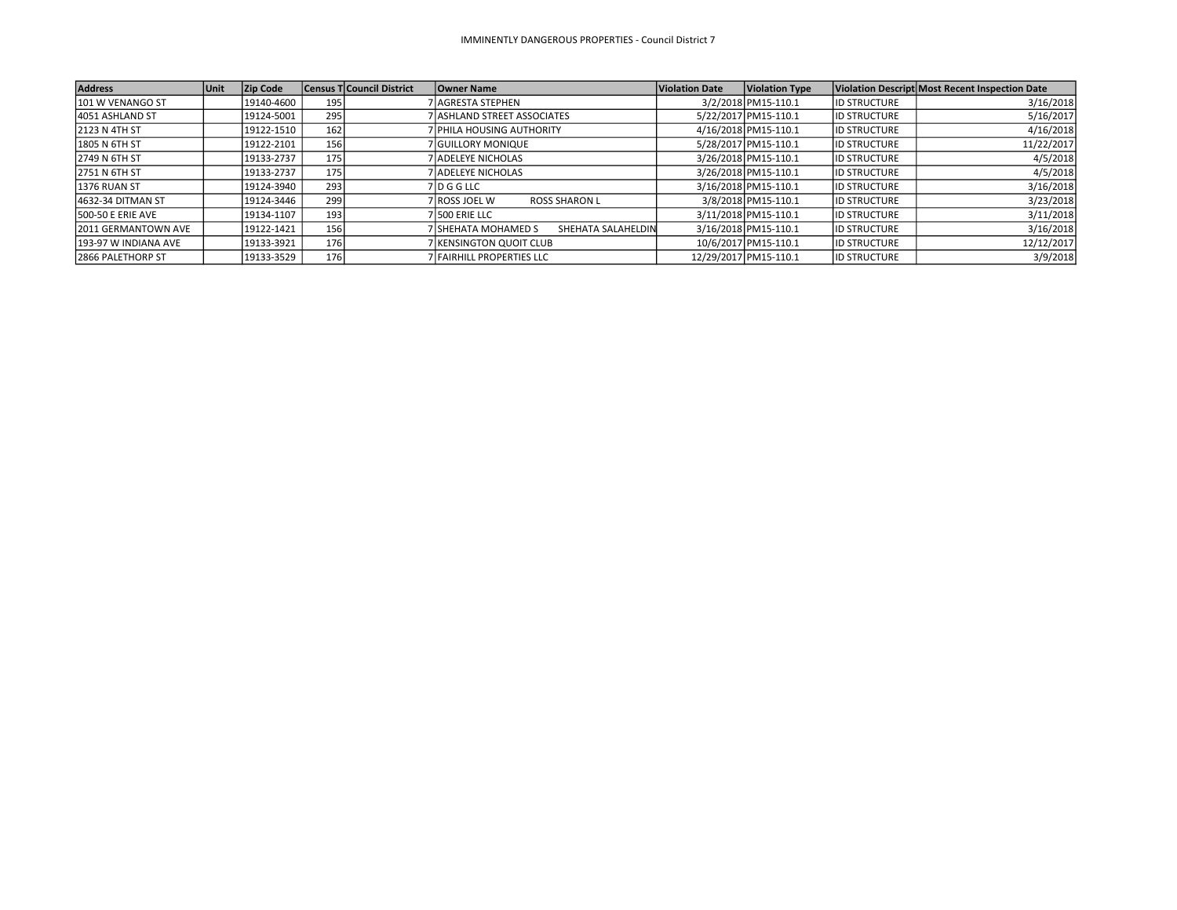| <b>Address</b>             | <b>Unit</b> | <b>Zip Code</b> |     | <b>Census T Council District</b> | <b>Owner Name</b>                         | Violation Date | <b>Violation Type</b> |                     | Violation Descript Most Recent Inspection Date |
|----------------------------|-------------|-----------------|-----|----------------------------------|-------------------------------------------|----------------|-----------------------|---------------------|------------------------------------------------|
| 101 W VENANGO ST           |             | 19140-4600      | 195 |                                  | 7 AGRESTA STEPHEN                         |                | 3/2/2018 PM15-110.1   | <b>ID STRUCTURE</b> | 3/16/2018                                      |
| 4051 ASHLAND ST            |             | 19124-5001      | 295 |                                  | 7 ASHLAND STREET ASSOCIATES               |                | 5/22/2017 PM15-110.1  | <b>ID STRUCTURE</b> | 5/16/2017                                      |
| 2123 N 4TH ST              |             | 19122-1510      | 162 |                                  | 7 PHILA HOUSING AUTHORITY                 |                | 4/16/2018 PM15-110.1  | <b>ID STRUCTURE</b> | 4/16/2018                                      |
| 1805 N 6TH ST              |             | 19122-2101      | 156 |                                  | 7 IGUILLORY MONIQUE                       |                | 5/28/2017 PM15-110.1  | <b>ID STRUCTURE</b> | 11/22/2017                                     |
| 2749 N 6TH ST              |             | 19133-2737      | 175 |                                  | 7 ADELEYE NICHOLAS                        |                | 3/26/2018 PM15-110.1  | <b>ID STRUCTURE</b> | 4/5/2018                                       |
| 2751 N 6TH ST              |             | 19133-2737      | 175 |                                  | 7 ADELEYE NICHOLAS                        |                | 3/26/2018 PM15-110.1  | <b>ID STRUCTURE</b> | 4/5/2018                                       |
| 1376 RUAN ST               |             | 19124-3940      | 293 |                                  | 7 ID G G LLC                              |                | 3/16/2018 PM15-110.1  | <b>ID STRUCTURE</b> | 3/16/2018                                      |
| 4632-34 DITMAN ST          |             | 19124-3446      | 299 |                                  | 7 ROSS JOEL W<br><b>ROSS SHARON L</b>     |                | 3/8/2018 PM15-110.1   | <b>ID STRUCTURE</b> | 3/23/2018                                      |
| <b>500-50 E ERIE AVE</b>   |             | 19134-1107      | 193 |                                  | 7 500 ERIE LLC                            |                | 3/11/2018 PM15-110.1  | <b>ID STRUCTURE</b> | 3/11/2018                                      |
| <b>2011 GERMANTOWN AVE</b> |             | 19122-1421      | 156 |                                  | 7lSHEHATA MOHAMED S<br>SHEHATA SALAHELDIN |                | 3/16/2018 PM15-110.1  | <b>ID STRUCTURE</b> | 3/16/2018                                      |
| 193-97 W INDIANA AVE       |             | 19133-3921      | 176 |                                  | 7 KENSINGTON QUOIT CLUB                   |                | 10/6/2017 PM15-110.1  | <b>ID STRUCTURE</b> | 12/12/2017                                     |
| <b>2866 PALETHORP ST</b>   |             | 19133-3529      | 176 |                                  | 7 FAIRHILL PROPERTIES LLC                 |                | 12/29/2017 PM15-110.1 | <b>ID STRUCTURE</b> | 3/9/2018                                       |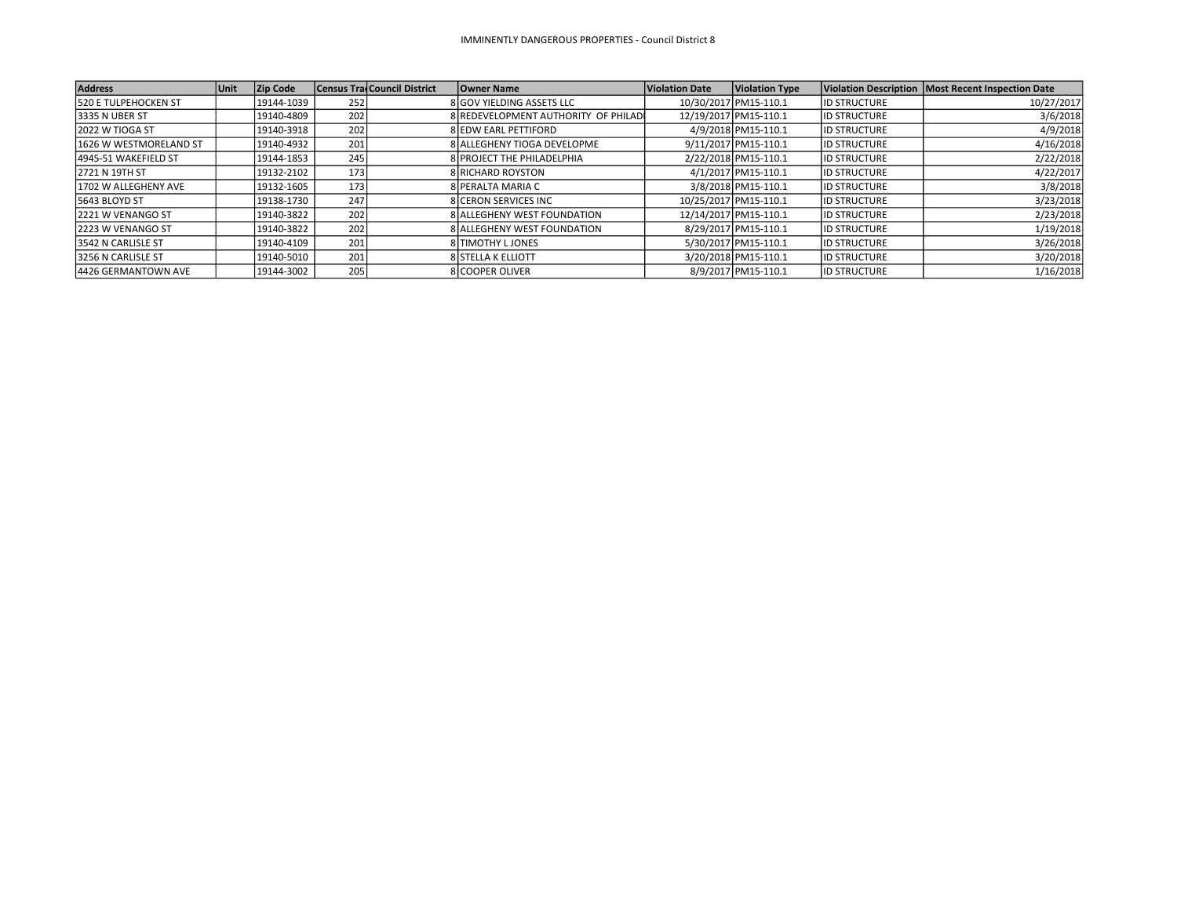| <b>Address</b>               | <b>Unit</b> | <b>Zip Code</b> |                  | <b>Census TradCouncil District</b> | <b>Owner Name</b>                   | <b>Violation Date</b> | <b>Violation Type</b> |                     | Violation Description   Most Recent Inspection Date |
|------------------------------|-------------|-----------------|------------------|------------------------------------|-------------------------------------|-----------------------|-----------------------|---------------------|-----------------------------------------------------|
| <b>1520 E TULPEHOCKEN ST</b> |             | 19144-1039      | 252              |                                    | 8 GOV YIELDING ASSETS LLC           |                       | 10/30/2017 PM15-110.1 | <b>ID STRUCTURE</b> | 10/27/2017                                          |
| 13335 N UBER ST              |             | 19140-4809      | 202              |                                    | 8 REDEVELOPMENT AUTHORITY OF PHILAD |                       | 12/19/2017 PM15-110.1 | <b>ID STRUCTURE</b> | 3/6/2018                                            |
| 2022 W TIOGA ST              |             | 19140-3918      | 202              |                                    | 8 EDW EARL PETTIFORD                |                       | 4/9/2018 PM15-110.1   | <b>ID STRUCTURE</b> | 4/9/2018                                            |
| l1626 W WESTMORELAND ST      |             | 19140-4932      | 201              |                                    | 8 ALLEGHENY TIOGA DEVELOPME         |                       | 9/11/2017 PM15-110.1  | <b>ID STRUCTURE</b> | 4/16/2018                                           |
| 4945-51 WAKEFIELD ST         |             | 19144-1853      | 245              |                                    | 8 PROJECT THE PHILADELPHIA          |                       | 2/22/2018 PM15-110.1  | <b>ID STRUCTURE</b> | 2/22/2018                                           |
| 2721 N 19TH ST               |             | 19132-2102      | 173              |                                    | <b>8 RICHARD ROYSTON</b>            |                       | 4/1/2017 PM15-110.1   | <b>ID STRUCTURE</b> | 4/22/2017                                           |
| 1702 W ALLEGHENY AVE         |             | 19132-1605      | 173 <sub>1</sub> |                                    | 8 PERALTA MARIA C                   |                       | 3/8/2018 PM15-110.1   | <b>ID STRUCTURE</b> | 3/8/2018                                            |
| 5643 BLOYD ST                |             | 19138-1730      | 247              |                                    | 8 CERON SERVICES INC                |                       | 10/25/2017 PM15-110.1 | <b>ID STRUCTURE</b> | 3/23/2018                                           |
| 12221 W VENANGO ST           |             | 19140-3822      | 202              |                                    | 8 ALLEGHENY WEST FOUNDATION         |                       | 12/14/2017 PM15-110.1 | <b>ID STRUCTURE</b> | 2/23/2018                                           |
| 12223 W VENANGO ST           |             | 19140-3822      | 202              |                                    | 8 ALLEGHENY WEST FOUNDATION         |                       | 8/29/2017 PM15-110.1  | <b>ID STRUCTURE</b> | 1/19/2018                                           |
| <b>3542 N CARLISLE ST</b>    |             | 19140-4109      | 201              |                                    | 8 TIMOTHY LJONES                    |                       | 5/30/2017 PM15-110.1  | <b>ID STRUCTURE</b> | 3/26/2018                                           |
| 3256 N CARLISLE ST           |             | 19140-5010      | 201              |                                    | <b>8 STELLA K ELLIOTT</b>           |                       | 3/20/2018 PM15-110.1  | <b>ID STRUCTURE</b> | 3/20/2018                                           |
| 14426 GERMANTOWN AVE         |             | 19144-3002      | 205              |                                    | 8 COOPER OLIVER                     |                       | 8/9/2017 PM15-110.1   | <b>ID STRUCTURE</b> | 1/16/2018                                           |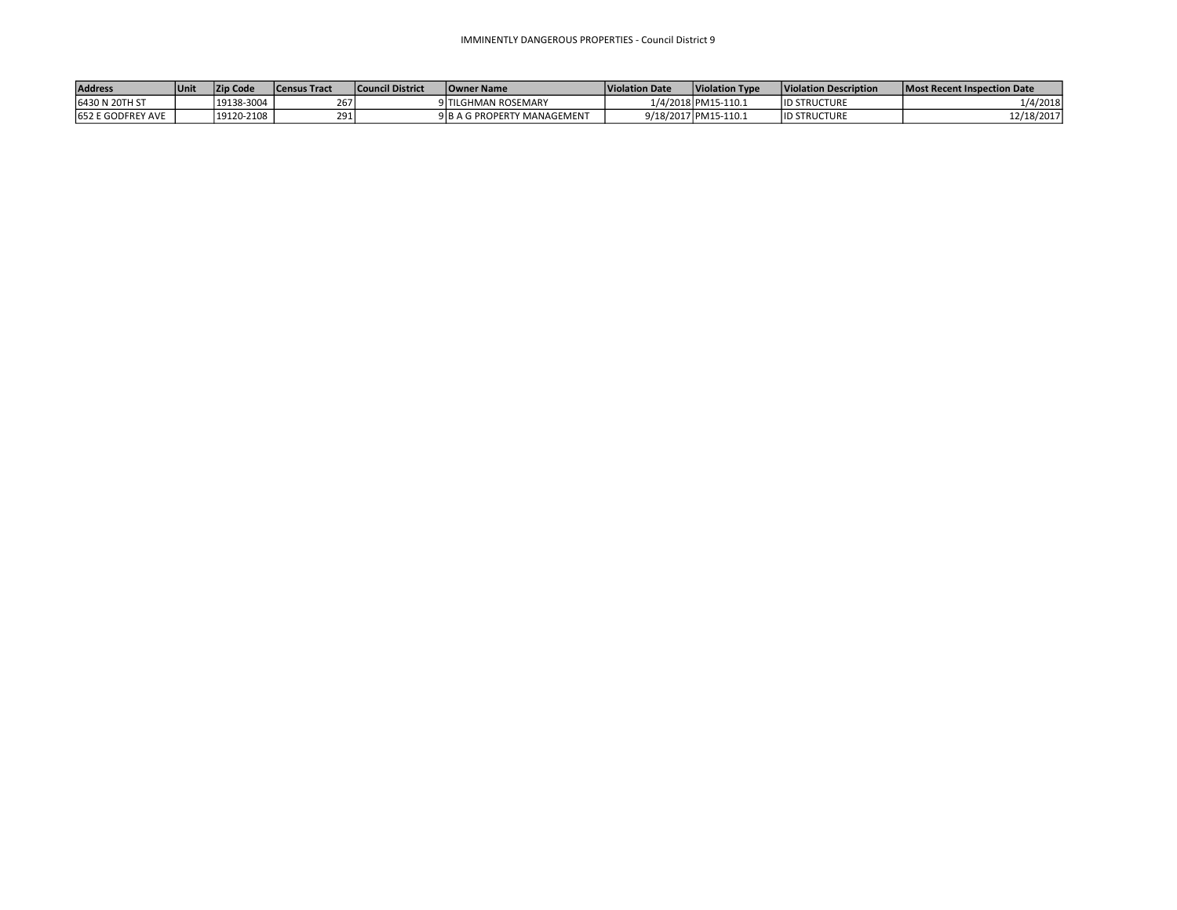| <b>Address</b>            | Unit | <b>Zip Code</b> | <b>Census Tract</b> | <b>Council District</b> | <b>Owner Name</b>           | Violation Date | <b>Violation Type</b> | Violation Description | Most Recent Inspection Date |
|---------------------------|------|-----------------|---------------------|-------------------------|-----------------------------|----------------|-----------------------|-----------------------|-----------------------------|
| 16430 N 20TH ST           |      | 19138-3004      | 267                 |                         | 9 TILGHMAN ROSEMARY         |                | 1/4/2018 PM15-110.1   | <b>ID STRUCTURE</b>   | l/4/2018                    |
| <b>1652 E GODFREY AVE</b> |      | 19120-2108      | 291                 |                         | 9 B A G PROPERTY MANAGEMENT |                | 9/18/2017 PM15-110.1  | <b>ID STRUCTURE</b>   | 12/18/2017                  |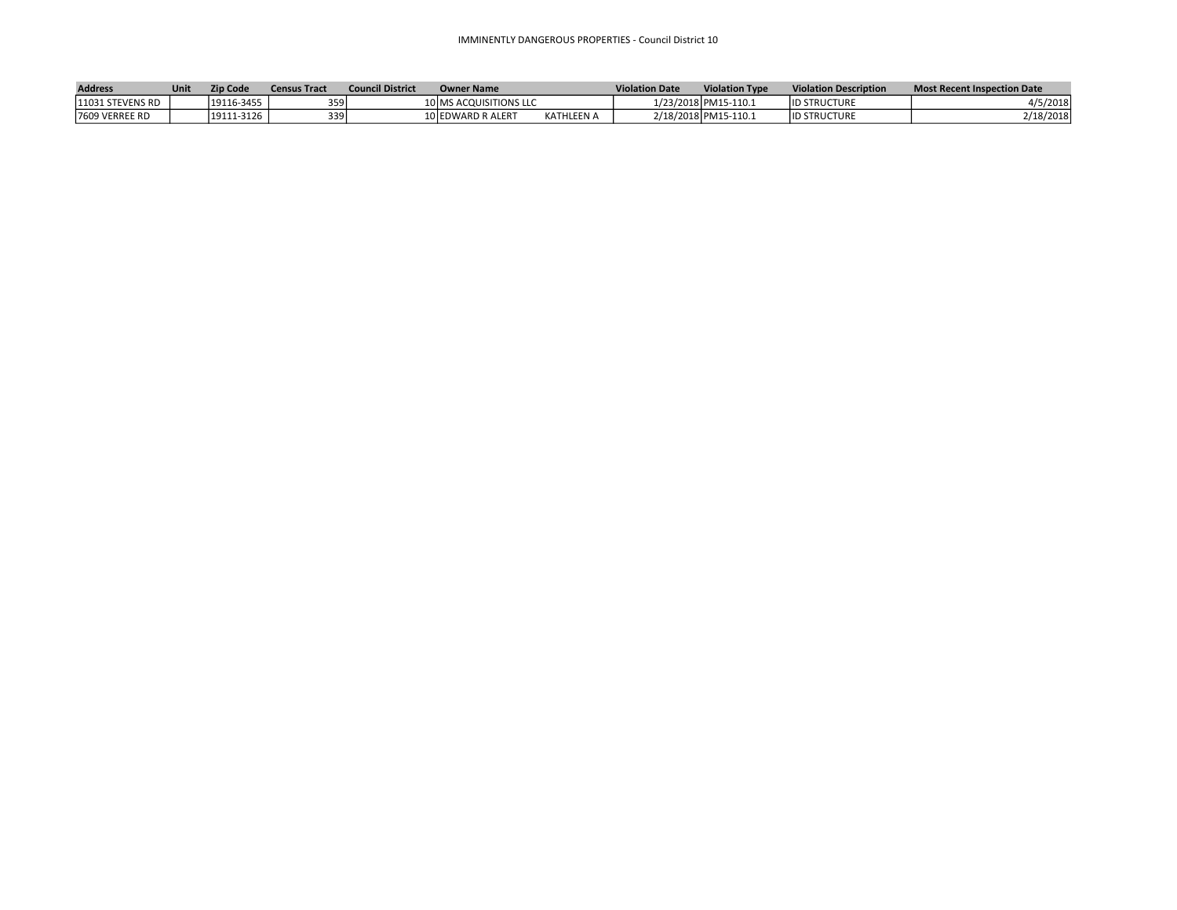| <b>Address</b>        | Unit | Zip Code   | <b>Census Tract</b> | <b>Council District</b> | <b>Owner Name</b>      |                   | <b>Violation Date</b> | <b>Violation Type</b> | <b>Violation Description</b> | <b>Most Recent Inspection Date</b> |
|-----------------------|------|------------|---------------------|-------------------------|------------------------|-------------------|-----------------------|-----------------------|------------------------------|------------------------------------|
| 11031 STEVENS RD      |      | 19116-3455 | 359                 |                         | 10 MS ACQUISITIONS LLC |                   |                       | 1/23/2018 PM15-110.1  | <b>ID STRUCTURE</b>          | 4/5/2018                           |
| <b>7609 VERREE RD</b> |      | 19111-3126 | 3391                |                         | 10 EDWARD R ALERT      | <b>KATHLEEN A</b> |                       | 2/18/2018 PM15-110.1  | <b>ID STRUCTURE</b>          | /18/2018                           |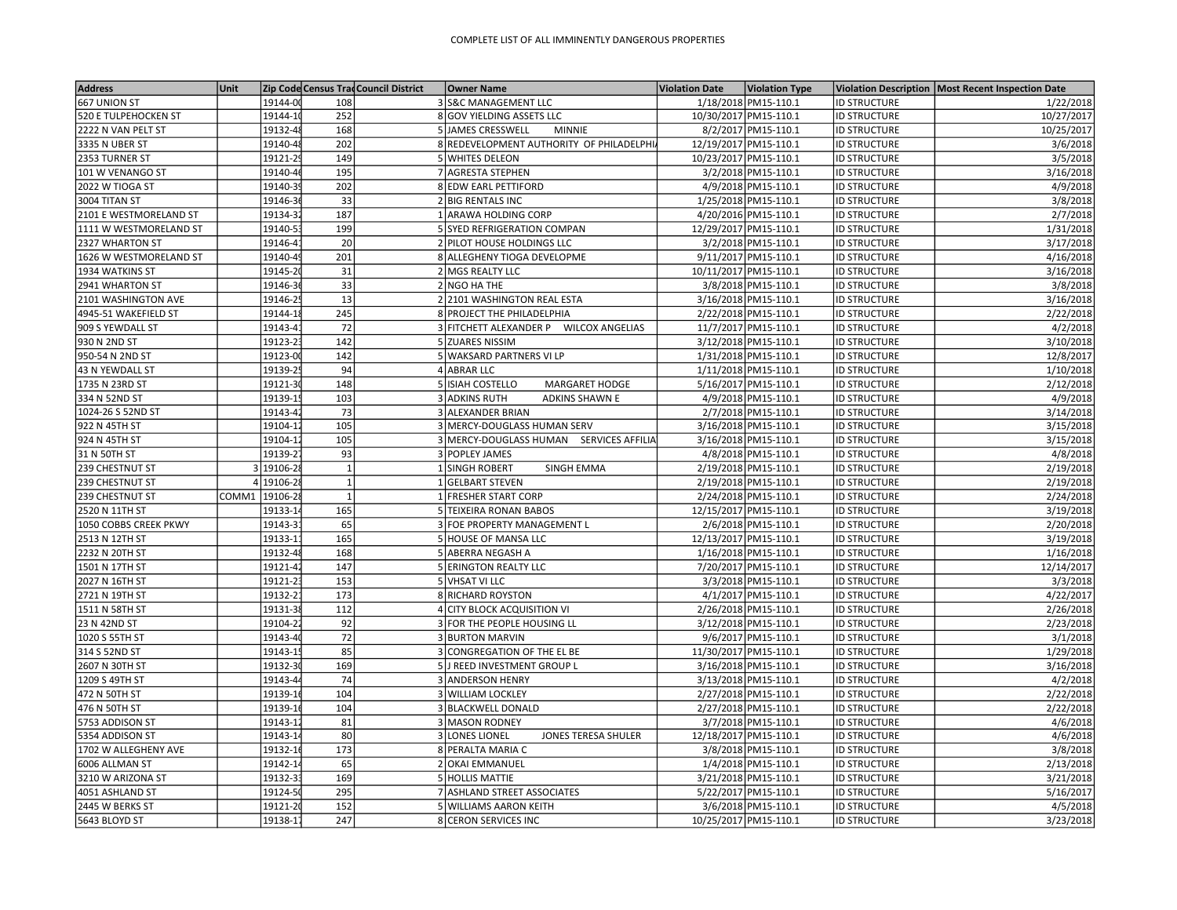| <b>Address</b>                  | Unit  |                      |                  | Zip Code Census Trad Council District | <b>Owner Name</b>                              |                                          | <b>Violation Date</b> | <b>Violation Type</b>                        |                     | Violation Description   Most Recent Inspection Date |
|---------------------------------|-------|----------------------|------------------|---------------------------------------|------------------------------------------------|------------------------------------------|-----------------------|----------------------------------------------|---------------------|-----------------------------------------------------|
| 667 UNION ST                    |       | 19144-00             | 108              |                                       | 3 S&C MANAGEMENT LLC                           |                                          |                       | 1/18/2018 PM15-110.1                         | <b>ID STRUCTURE</b> | 1/22/2018                                           |
| <b>520 E TULPEHOCKEN ST</b>     |       | 19144-10             | 252              |                                       | 8 GOV YIELDING ASSETS LLC                      |                                          |                       | 10/30/2017 PM15-110.1                        | <b>ID STRUCTURE</b> | 10/27/2017                                          |
| 2222 N VAN PELT ST              |       | 19132-48             | 168              |                                       | 5 JAMES CRESSWELL                              | <b>MINNIE</b>                            |                       | 8/2/2017 PM15-110.1                          | <b>ID STRUCTURE</b> | 10/25/2017                                          |
| 3335 N UBER ST                  |       | 19140-48             | 202              |                                       |                                                | 8 REDEVELOPMENT AUTHORITY OF PHILADELPHI |                       | 12/19/2017 PM15-110.1                        | <b>ID STRUCTURE</b> | 3/6/2018                                            |
| 2353 TURNER ST                  |       | 19121-2              | 149              |                                       | 5 WHITES DELEON                                |                                          |                       | 10/23/2017 PM15-110.1                        | <b>ID STRUCTURE</b> | 3/5/2018                                            |
| 101 W VENANGO ST                |       | 19140-46             | 195              |                                       | 7 AGRESTA STEPHEN                              |                                          |                       | 3/2/2018 PM15-110.1                          | <b>ID STRUCTURE</b> | 3/16/2018                                           |
| 2022 W TIOGA ST                 |       | 19140-39             | 202              |                                       | 8 EDW EARL PETTIFORD                           |                                          |                       | 4/9/2018 PM15-110.1                          | <b>ID STRUCTURE</b> | 4/9/2018                                            |
| 3004 TITAN ST                   |       | 19146-3              | 33               |                                       | 2 BIG RENTALS INC                              |                                          |                       | 1/25/2018 PM15-110.1                         | <b>ID STRUCTURE</b> | 3/8/2018                                            |
| 2101 E WESTMORELAND ST          |       | 19134-3              | 187              |                                       | 1 ARAWA HOLDING CORP                           |                                          |                       | 4/20/2016 PM15-110.1                         | <b>ID STRUCTURE</b> | 2/7/2018                                            |
| 1111 W WESTMORELAND ST          |       | 19140-5              | 199              |                                       | 5 SYED REFRIGERATION COMPAN                    |                                          |                       | 12/29/2017 PM15-110.1                        | <b>ID STRUCTURE</b> | 1/31/2018                                           |
| 2327 WHARTON ST                 |       | 19146-4              | 20               |                                       | 2 PILOT HOUSE HOLDINGS LLC                     |                                          |                       | 3/2/2018 PM15-110.1                          | <b>ID STRUCTURE</b> | 3/17/2018                                           |
| 1626 W WESTMORELAND ST          |       | 19140-49             | 201              |                                       | 8 ALLEGHENY TIOGA DEVELOPME                    |                                          |                       | 9/11/2017 PM15-110.1                         | <b>ID STRUCTURE</b> | 4/16/2018                                           |
| 1934 WATKINS ST                 |       | 19145-20             | 31               |                                       | 2 MGS REALTY LLC                               |                                          |                       | 10/11/2017 PM15-110.1                        | <b>ID STRUCTURE</b> | 3/16/2018                                           |
| 2941 WHARTON ST                 |       | 19146-3              | 33               |                                       | 2 NGO HA THE                                   |                                          |                       | 3/8/2018 PM15-110.1                          | <b>ID STRUCTURE</b> | 3/8/2018                                            |
| 2101 WASHINGTON AVE             |       | 19146-2              | 13               |                                       | 2 2101 WASHINGTON REAL ESTA                    |                                          |                       | 3/16/2018 PM15-110.1                         | <b>ID STRUCTURE</b> | 3/16/2018                                           |
| 4945-51 WAKEFIELD ST            |       | 19144-18             | 245              |                                       | 8 PROJECT THE PHILADELPHIA                     |                                          |                       | 2/22/2018 PM15-110.1                         | <b>ID STRUCTURE</b> | 2/22/2018                                           |
| 909 S YEWDALL ST                |       | 19143-4              | 72               |                                       |                                                | 3 FITCHETT ALEXANDER P WILCOX ANGELIAS   |                       | 11/7/2017 PM15-110.1                         | <b>ID STRUCTURE</b> | 4/2/2018                                            |
| 930 N 2ND ST                    |       | 19123-23             | 142              |                                       | 5 ZUARES NISSIM                                |                                          |                       | 3/12/2018 PM15-110.1                         | <b>ID STRUCTURE</b> | 3/10/2018                                           |
| 950-54 N 2ND ST                 |       | 19123-00             | $\overline{142}$ |                                       | 5 WAKSARD PARTNERS VI LP                       |                                          |                       | 1/31/2018 PM15-110.1                         | <b>ID STRUCTURE</b> | 12/8/2017                                           |
| 43 N YEWDALL ST                 |       | 19139-2              | 94               |                                       | 4 ABRAR LLC                                    |                                          |                       | 1/11/2018 PM15-110.1                         | <b>ID STRUCTURE</b> | 1/10/2018                                           |
| 1735 N 23RD ST                  |       | 19121-3              | 148              |                                       | 5 ISIAH COSTELLO                               | MARGARET HODGE                           |                       | 5/16/2017 PM15-110.1                         | <b>ID STRUCTURE</b> | 2/12/2018                                           |
| 334 N 52ND ST                   |       | 19139-1              | 103              |                                       | 3 ADKINS RUTH                                  | <b>ADKINS SHAWN E</b>                    |                       | 4/9/2018 PM15-110.1                          | <b>ID STRUCTURE</b> | 4/9/2018                                            |
| 1024-26 S 52ND ST               |       | 19143-42             | 73               |                                       | 3 ALEXANDER BRIAN                              |                                          |                       | 2/7/2018 PM15-110.1                          | <b>ID STRUCTURE</b> | 3/14/2018                                           |
| 922 N 45TH ST                   |       | 19104-12             | 105              |                                       | 3 MERCY-DOUGLASS HUMAN SERV                    |                                          |                       | 3/16/2018 PM15-110.1                         | <b>ID STRUCTURE</b> | 3/15/2018                                           |
| 924 N 45TH ST                   |       | 19104-1              | 105              |                                       |                                                | 3 MERCY-DOUGLASS HUMAN SERVICES AFFILIA  |                       | 3/16/2018 PM15-110.1                         | <b>ID STRUCTURE</b> | 3/15/2018                                           |
| 31 N 50TH ST                    |       | 19139-2              | 93               |                                       | 3 POPLEY JAMES                                 |                                          |                       | 4/8/2018 PM15-110.1                          | <b>ID STRUCTURE</b> | 4/8/2018                                            |
| 239 CHESTNUT ST                 |       | 3 19106-2            | $\overline{1}$   |                                       | 1 SINGH ROBERT                                 | <b>SINGH EMMA</b>                        |                       | 2/19/2018 PM15-110.1                         | <b>ID STRUCTURE</b> | 2/19/2018                                           |
| 239 CHESTNUT ST                 |       | 4 19106-28           | $\mathbf{1}$     |                                       | 1 GELBART STEVEN                               |                                          |                       | 2/19/2018 PM15-110.1                         | <b>ID STRUCTURE</b> | 2/19/2018                                           |
| 239 CHESTNUT ST                 | COMM1 | 19106-28             | $\mathbf{1}$     |                                       | 1 FRESHER START CORP                           |                                          |                       | 2/24/2018 PM15-110.1                         | <b>ID STRUCTURE</b> | 2/24/2018                                           |
| 2520 N 11TH ST                  |       | 19133-14             | 165              |                                       | 5 TEIXEIRA RONAN BABOS                         |                                          |                       | 12/15/2017 PM15-110.1                        | <b>ID STRUCTURE</b> | 3/19/2018                                           |
| 1050 COBBS CREEK PKWY           |       | 19143-3              | 65               |                                       | 3 FOE PROPERTY MANAGEMENT L                    |                                          |                       | 2/6/2018 PM15-110.1                          | <b>ID STRUCTURE</b> | 2/20/2018                                           |
| 2513 N 12TH ST                  |       | 19133-1              | 165              |                                       | 5 HOUSE OF MANSA LLC                           |                                          |                       | 12/13/2017 PM15-110.1                        | <b>ID STRUCTURE</b> | 3/19/2018                                           |
| 2232 N 20TH ST                  |       | 19132-48             | 168              |                                       | 5 ABERRA NEGASH A                              |                                          |                       | 1/16/2018 PM15-110.1                         | <b>ID STRUCTURE</b> | 1/16/2018                                           |
| 1501 N 17TH ST                  |       | 19121-42             | 147              |                                       | 5 ERINGTON REALTY LLC                          |                                          |                       | 7/20/2017 PM15-110.1                         | <b>ID STRUCTURE</b> | 12/14/2017                                          |
| 2027 N 16TH ST                  |       | 19121-23             | 153              |                                       | 5 VHSAT VI LLC                                 |                                          |                       | 3/3/2018 PM15-110.1                          | <b>ID STRUCTURE</b> | 3/3/2018                                            |
| 2721 N 19TH ST                  |       | 19132-2              | 173              |                                       | 8 RICHARD ROYSTON                              |                                          |                       | 4/1/2017 PM15-110.1                          | <b>ID STRUCTURE</b> | 4/22/2017                                           |
| 1511 N 58TH ST                  |       | 19131-38             | 112              |                                       | 4 CITY BLOCK ACQUISITION VI                    |                                          |                       | 2/26/2018 PM15-110.1                         | <b>ID STRUCTURE</b> | 2/26/2018                                           |
| 23 N 42ND ST                    |       | 19104-2              | 92               |                                       | 3 FOR THE PEOPLE HOUSING LL                    |                                          |                       | 3/12/2018 PM15-110.1                         | <b>ID STRUCTURE</b> | 2/23/2018                                           |
|                                 |       |                      | 72               |                                       |                                                |                                          |                       |                                              |                     |                                                     |
| 1020 S 55TH ST                  |       | 19143-40<br>19143-15 | 85               |                                       | 3 BURTON MARVIN<br>3 CONGREGATION OF THE EL BE |                                          |                       | 9/6/2017 PM15-110.1<br>11/30/2017 PM15-110.1 | <b>ID STRUCTURE</b> | 3/1/2018                                            |
| 314 S 52ND ST<br>2607 N 30TH ST |       | 19132-3              | 169              |                                       |                                                |                                          |                       |                                              | <b>ID STRUCTURE</b> | 1/29/2018                                           |
|                                 |       |                      |                  |                                       | 5 J REED INVESTMENT GROUP L                    |                                          |                       | 3/16/2018 PM15-110.1                         | <b>ID STRUCTURE</b> | 3/16/2018                                           |
| 1209 S 49TH ST                  |       | 19143-44             | 74               |                                       | 3 ANDERSON HENRY                               |                                          |                       | 3/13/2018 PM15-110.1                         | <b>ID STRUCTURE</b> | 4/2/2018                                            |
| 472 N 50TH ST                   |       | 19139-16             | 104              |                                       | 3 WILLIAM LOCKLEY                              |                                          |                       | 2/27/2018 PM15-110.1                         | <b>ID STRUCTURE</b> | 2/22/2018                                           |
| 476 N 50TH ST                   |       | 19139-16             | 104              |                                       | 3 BLACKWELL DONALD                             |                                          |                       | 2/27/2018 PM15-110.1                         | <b>ID STRUCTURE</b> | 2/22/2018                                           |
| 5753 ADDISON ST                 |       | 19143-12             | 81               |                                       | 3 MASON RODNEY                                 |                                          |                       | 3/7/2018 PM15-110.1                          | <b>ID STRUCTURE</b> | 4/6/2018                                            |
| 5354 ADDISON ST                 |       | 19143-14             | 80               |                                       | 3 LONES LIONEL                                 | JONES TERESA SHULER                      |                       | 12/18/2017 PM15-110.1                        | <b>ID STRUCTURE</b> | 4/6/2018                                            |
| 1702 W ALLEGHENY AVE            |       | 19132-16             | 173              |                                       | 8 PERALTA MARIA C                              |                                          |                       | 3/8/2018 PM15-110.1                          | <b>ID STRUCTURE</b> | 3/8/2018                                            |
| 6006 ALLMAN ST                  |       | 19142-14             | 65               |                                       | 2 OKAI EMMANUEL                                |                                          |                       | 1/4/2018 PM15-110.1                          | <b>ID STRUCTURE</b> | 2/13/2018                                           |
| 3210 W ARIZONA ST               |       | 19132-3              | 169              |                                       | 5 HOLLIS MATTIE                                |                                          |                       | 3/21/2018 PM15-110.1                         | <b>ID STRUCTURE</b> | 3/21/2018                                           |
| 4051 ASHLAND ST                 |       | 19124-50             | 295              |                                       | 7 ASHLAND STREET ASSOCIATES                    |                                          |                       | 5/22/2017 PM15-110.1                         | <b>ID STRUCTURE</b> | 5/16/2017                                           |
| 2445 W BERKS ST                 |       | 19121-20             | 152              |                                       | 5 WILLIAMS AARON KEITH                         |                                          |                       | 3/6/2018 PM15-110.1                          | <b>ID STRUCTURE</b> | 4/5/2018                                            |
| 5643 BLOYD ST                   |       | 19138-17             | 247              |                                       | 8 CERON SERVICES INC                           |                                          |                       | 10/25/2017 PM15-110.1                        | <b>ID STRUCTURE</b> | 3/23/2018                                           |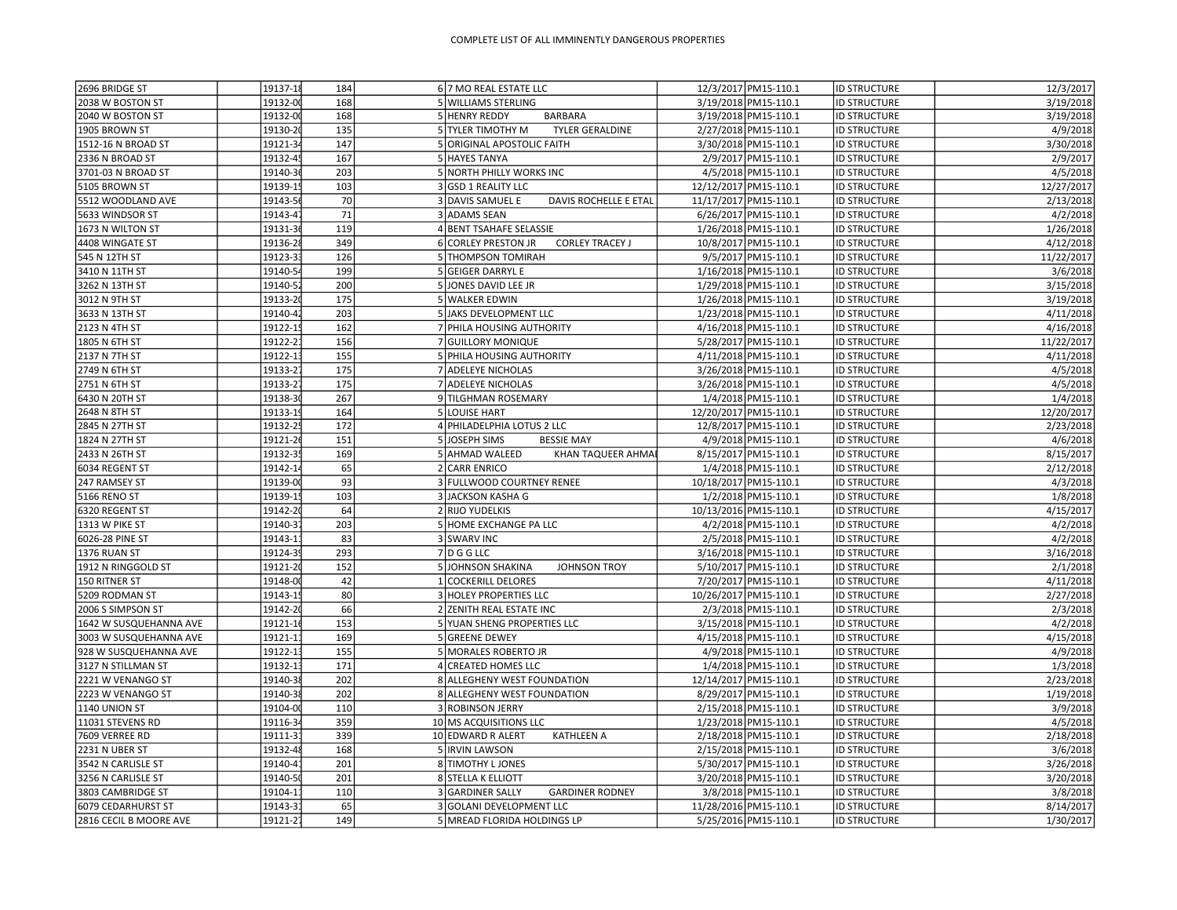| 2696 BRIDGE ST         | 19137-18            | 184        | 6 7 MO REAL ESTATE LLC                        |                       | 12/3/2017 PM15-110.1  | <b>ID STRUCTURE</b> | 12/3/2017             |
|------------------------|---------------------|------------|-----------------------------------------------|-----------------------|-----------------------|---------------------|-----------------------|
| 2038 W BOSTON ST       | 19132-00            | 168        | 5 WILLIAMS STERLING                           |                       | 3/19/2018 PM15-110.1  | <b>ID STRUCTURE</b> | 3/19/2018             |
| 2040 W BOSTON ST       | 19132-00            | 168        | 5 HENRY REDDY<br><b>BARBARA</b>               |                       | 3/19/2018 PM15-110.1  | <b>ID STRUCTURE</b> | 3/19/2018             |
| 1905 BROWN ST          | 19130-20            | 135        | <b>TYLER GERALDINE</b><br>5 TYLER TIMOTHY M   |                       | 2/27/2018 PM15-110.1  | <b>ID STRUCTURE</b> | 4/9/2018              |
| 1512-16 N BROAD ST     | 19121-3             | 147        | 5 ORIGINAL APOSTOLIC FAITH                    |                       | 3/30/2018 PM15-110.1  | <b>ID STRUCTURE</b> | 3/30/2018             |
| 2336 N BROAD ST        | 19132-45            | 167        | 5 HAYES TANYA                                 |                       | 2/9/2017 PM15-110.1   | <b>ID STRUCTURE</b> | 2/9/2017              |
| 3701-03 N BROAD ST     | 19140-36            | 203        | 5 NORTH PHILLY WORKS INC                      |                       | 4/5/2018 PM15-110.1   | <b>ID STRUCTURE</b> | 4/5/2018              |
| 5105 BROWN ST          | 19139-15            | 103        | 3 GSD 1 REALITY LLC                           | 12/12/2017 PM15-110.1 |                       | <b>ID STRUCTURE</b> | 12/27/2017            |
| 5512 WOODLAND AVE      | 19143-56            | 70         | 3 DAVIS SAMUEL E<br>DAVIS ROCHELLE E ETAL     |                       | 11/17/2017 PM15-110.1 | <b>ID STRUCTURE</b> | 2/13/2018             |
| 5633 WINDSOR ST        | 19143-47            | $71\,$     | 3 ADAMS SEAN                                  |                       | 6/26/2017 PM15-110.1  | <b>ID STRUCTURE</b> | 4/2/2018              |
| 1673 N WILTON ST       | 19131-36            | 119        | 4 BENT TSAHAFE SELASSIE                       |                       | 1/26/2018 PM15-110.1  | <b>ID STRUCTURE</b> | 1/26/2018             |
| 4408 WINGATE ST        | 19136-28            | 349        | <b>CORLEY TRACEY J</b><br>6 CORLEY PRESTON JR |                       | 10/8/2017 PM15-110.1  | <b>ID STRUCTURE</b> | 4/12/2018             |
| 545 N 12TH ST          | 19123-33            | 126        | 5 THOMPSON TOMIRAH                            |                       | 9/5/2017 PM15-110.1   | <b>ID STRUCTURE</b> | 11/22/2017            |
| 3410 N 11TH ST         | 19140-5             | 199        | 5 GEIGER DARRYL E                             |                       | 1/16/2018 PM15-110.1  | <b>ID STRUCTURE</b> | 3/6/2018              |
| 3262 N 13TH ST         | 19140-5             | 200        | 5 JONES DAVID LEE JR                          |                       | 1/29/2018 PM15-110.1  | <b>ID STRUCTURE</b> | 3/15/2018             |
| 3012 N 9TH ST          | 19133-20            | 175        | 5 WALKER EDWIN                                |                       | 1/26/2018 PM15-110.1  | <b>ID STRUCTURE</b> | 3/19/2018             |
| 3633 N 13TH ST         | 19140-42            | 203        | 5 JAKS DEVELOPMENT LLC                        |                       | 1/23/2018 PM15-110.1  | <b>ID STRUCTURE</b> | 4/11/2018             |
| 2123 N 4TH ST          | 19122-15            | 162        | 7 PHILA HOUSING AUTHORITY                     |                       | 4/16/2018 PM15-110.1  | <b>ID STRUCTURE</b> | 4/16/2018             |
| 1805 N 6TH ST          | 19122-21            | 156        | 7 GUILLORY MONIQUE                            |                       | 5/28/2017 PM15-110.1  | <b>ID STRUCTURE</b> | 11/22/2017            |
| 2137 N 7TH ST          | 19122-13            | 155        | 5 PHILA HOUSING AUTHORITY                     |                       | 4/11/2018 PM15-110.1  | <b>ID STRUCTURE</b> | 4/11/2018             |
| 2749 N 6TH ST          | 19133-2             | 175        | 7 ADELEYE NICHOLAS                            |                       | 3/26/2018 PM15-110.1  | <b>ID STRUCTURE</b> | 4/5/2018              |
| 2751 N 6TH ST          | 19133-2             | 175        | 7 ADELEYE NICHOLAS                            |                       | 3/26/2018 PM15-110.1  | <b>ID STRUCTURE</b> | 4/5/2018              |
| 6430 N 20TH ST         | 19138-3             | 267        | 9 TILGHMAN ROSEMARY                           |                       | 1/4/2018 PM15-110.1   | <b>ID STRUCTURE</b> | 1/4/2018              |
| 2648 N 8TH ST          | 19133-19            | 164        | 5 LOUISE HART                                 |                       | 12/20/2017 PM15-110.1 | <b>ID STRUCTURE</b> | 12/20/2017            |
| 2845 N 27TH ST         | 19132-25            | 172        | 4 PHILADELPHIA LOTUS 2 LLC                    |                       | 12/8/2017 PM15-110.1  | <b>ID STRUCTURE</b> | 2/23/2018             |
| 1824 N 27TH ST         | 19121-26            | 151        | 5 JOSEPH SIMS<br><b>BESSIE MAY</b>            |                       | 4/9/2018 PM15-110.1   | <b>ID STRUCTURE</b> | 4/6/2018              |
| 2433 N 26TH ST         | 19132-35            | 169        | 5 AHMAD WALEED<br>KHAN TAQUEER AHMAI          |                       | 8/15/2017 PM15-110.1  | <b>ID STRUCTURE</b> | 8/15/2017             |
| 6034 REGENT ST         | 19142-1             | 65         | 2 CARR ENRICO                                 |                       | 1/4/2018 PM15-110.1   | <b>ID STRUCTURE</b> | 2/12/2018             |
| 247 RAMSEY ST          | 19139-00            | 93         | 3 FULLWOOD COURTNEY RENEE                     |                       | 10/18/2017 PM15-110.1 | <b>ID STRUCTURE</b> | 4/3/2018              |
| 5166 RENO ST           | 19139-15            | 103        | 3 JACKSON KASHA G                             |                       | 1/2/2018 PM15-110.1   | <b>ID STRUCTURE</b> | 1/8/2018              |
| 6320 REGENT ST         | 19142-20            | 64         | 2 RIJO YUDELKIS                               |                       | 10/13/2016 PM15-110.1 | <b>ID STRUCTURE</b> | 4/15/2017             |
| 1313 W PIKE ST         | 19140-3             | 203        | 5 HOME EXCHANGE PA LLC                        |                       | 4/2/2018 PM15-110.1   | <b>ID STRUCTURE</b> | 4/2/2018              |
|                        | 19143-1             | 83         |                                               |                       |                       |                     |                       |
| 6026-28 PINE ST        |                     |            | 3 SWARV INC                                   |                       | 2/5/2018 PM15-110.1   | <b>ID STRUCTURE</b> | 4/2/2018              |
| 1376 RUAN ST           | 19124-3<br>19121-20 | 293<br>152 | $7$ D G G LLC                                 |                       | 3/16/2018 PM15-110.1  | <b>ID STRUCTURE</b> | 3/16/2018<br>2/1/2018 |
| 1912 N RINGGOLD ST     |                     |            | 5 JOHNSON SHAKINA<br><b>JOHNSON TROY</b>      |                       | 5/10/2017 PM15-110.1  | <b>ID STRUCTURE</b> |                       |
| 150 RITNER ST          | 19148-00            | 42         | 1 COCKERILL DELORES                           |                       | 7/20/2017 PM15-110.1  | <b>ID STRUCTURE</b> | 4/11/2018             |
| 5209 RODMAN ST         | 19143-15            | 80         | 3 HOLEY PROPERTIES LLC                        |                       | 10/26/2017 PM15-110.1 | <b>ID STRUCTURE</b> | 2/27/2018             |
| 2006 S SIMPSON ST      | 19142-20            | 66         | 2 ZENITH REAL ESTATE INC                      |                       | 2/3/2018 PM15-110.1   | <b>ID STRUCTURE</b> | 2/3/2018              |
| 1642 W SUSQUEHANNA AVE | 19121-16            | 153        | 5 YUAN SHENG PROPERTIES LLC                   |                       | 3/15/2018 PM15-110.1  | <b>ID STRUCTURE</b> | 4/2/2018              |
| 3003 W SUSQUEHANNA AVE | 19121-1             | 169        | 5 GREENE DEWEY                                |                       | 4/15/2018 PM15-110.1  | <b>ID STRUCTURE</b> | 4/15/2018             |
| 928 W SUSQUEHANNA AVE  | 19122-13            | 155        | 5 MORALES ROBERTO JR                          |                       | 4/9/2018 PM15-110.1   | <b>ID STRUCTURE</b> | 4/9/2018              |
| 3127 N STILLMAN ST     | 19132-1             | 171        | 4 CREATED HOMES LLC                           |                       | 1/4/2018 PM15-110.1   | <b>ID STRUCTURE</b> | 1/3/2018              |
| 2221 W VENANGO ST      | 19140-3             | 202        | 8 ALLEGHENY WEST FOUNDATION                   |                       | 12/14/2017 PM15-110.1 | <b>ID STRUCTURE</b> | 2/23/2018             |
| 2223 W VENANGO ST      | 19140-3             | 202        | 8 ALLEGHENY WEST FOUNDATION                   |                       | 8/29/2017 PM15-110.1  | <b>ID STRUCTURE</b> | 1/19/2018             |
| 1140 UNION ST          | 19104-00            | 110        | 3 ROBINSON JERRY                              |                       | 2/15/2018 PM15-110.1  | <b>ID STRUCTURE</b> | 3/9/2018              |
| 11031 STEVENS RD       | 19116-34            | 359        | 10 MS ACQUISITIONS LLC                        |                       | 1/23/2018 PM15-110.1  | <b>ID STRUCTURE</b> | 4/5/2018              |
| 7609 VERREE RD         | 19111-3             | 339        | 10 EDWARD R ALERT<br><b>KATHLEEN A</b>        |                       | 2/18/2018 PM15-110.1  | <b>ID STRUCTURE</b> | 2/18/2018             |
| 2231 N UBER ST         | 19132-48            | 168        | 5 <b>IRVIN LAWSON</b>                         |                       | 2/15/2018 PM15-110.1  | <b>ID STRUCTURE</b> | 3/6/2018              |
| 3542 N CARLISLE ST     | 19140-4             | 201        | 8 TIMOTHY L JONES                             |                       | 5/30/2017 PM15-110.1  | <b>ID STRUCTURE</b> | 3/26/2018             |
| 3256 N CARLISLE ST     | 19140-5             | 201        | 8 STELLA K ELLIOTT                            |                       | 3/20/2018 PM15-110.1  | <b>ID STRUCTURE</b> | 3/20/2018             |
| 3803 CAMBRIDGE ST      | 19104-1             | 110        | 3 GARDINER SALLY<br><b>GARDINER RODNEY</b>    |                       | 3/8/2018 PM15-110.1   | <b>ID STRUCTURE</b> | 3/8/2018              |
| 6079 CEDARHURST ST     | 19143-31            | 65         | 3 GOLANI DEVELOPMENT LLC                      |                       | 11/28/2016 PM15-110.1 | <b>ID STRUCTURE</b> | 8/14/2017             |
| 2816 CECIL B MOORE AVE | 19121-27            | 149        | 5 MREAD FLORIDA HOLDINGS LP                   |                       | 5/25/2016 PM15-110.1  | <b>ID STRUCTURE</b> | 1/30/2017             |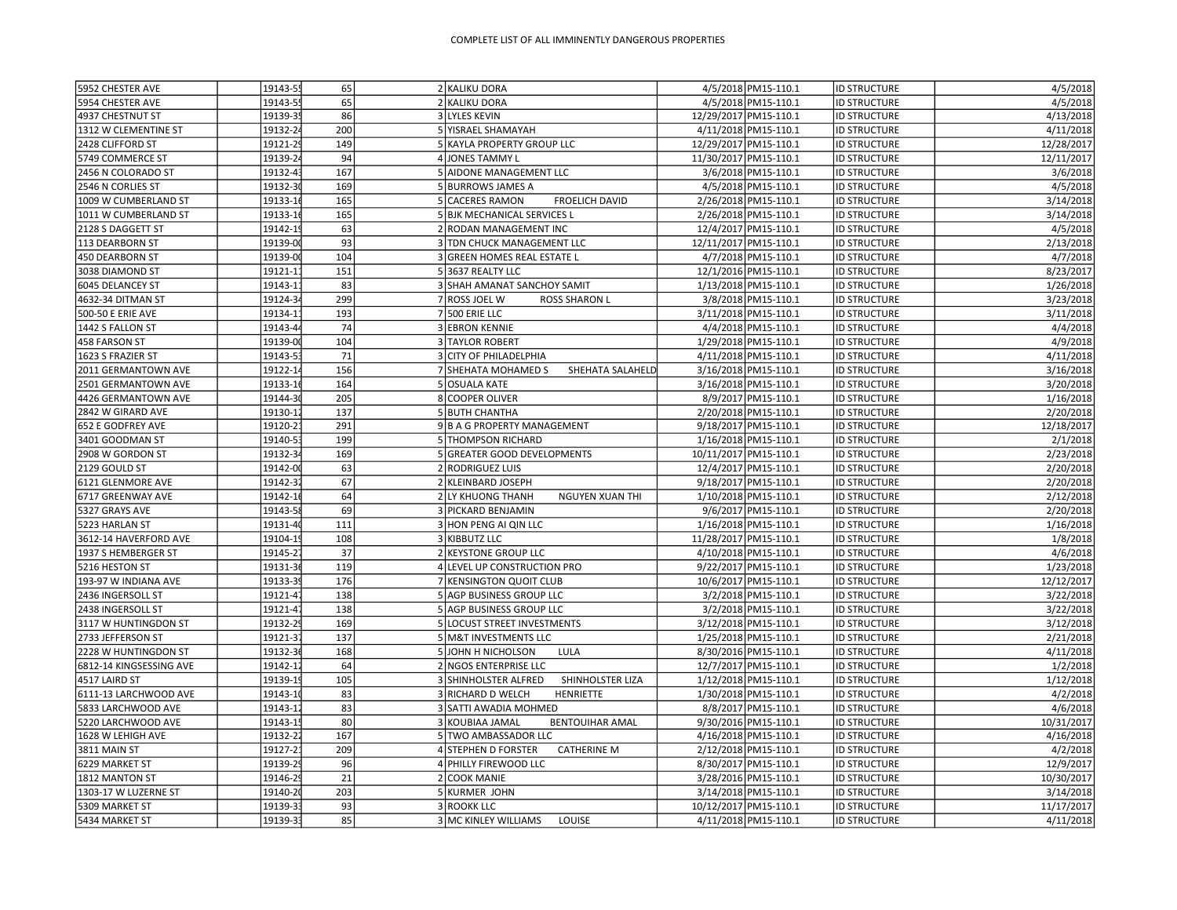| 5952 CHESTER AVE        | 19143-5  | 65  | 2 KALIKU DORA                               | 4/5/2018 PM15-110.1   | ID STRUCTURE        | 4/5/2018   |
|-------------------------|----------|-----|---------------------------------------------|-----------------------|---------------------|------------|
| 5954 CHESTER AVE        | 19143-5  | 65  | 2 KALIKU DORA                               | 4/5/2018 PM15-110.1   | <b>ID STRUCTURE</b> | 4/5/2018   |
| 4937 CHESTNUT ST        | 19139-3  | 86  | 3 LYLES KEVIN                               | 12/29/2017 PM15-110.1 | <b>ID STRUCTURE</b> | 4/13/2018  |
| 1312 W CLEMENTINE ST    | 19132-2  | 200 | 5 YISRAEL SHAMAYAH                          | 4/11/2018 PM15-110.1  | <b>ID STRUCTURE</b> | 4/11/2018  |
| 2428 CLIFFORD ST        | 19121-2  | 149 | 5 KAYLA PROPERTY GROUP LLC                  | 12/29/2017 PM15-110.1 | <b>ID STRUCTURE</b> | 12/28/2017 |
| 5749 COMMERCE ST        | 19139-2  | 94  | 4 JONES TAMMY L                             | 11/30/2017 PM15-110.1 | <b>ID STRUCTURE</b> | 12/11/2017 |
| 2456 N COLORADO ST      | 19132-4  | 167 | 5 AIDONE MANAGEMENT LLC                     | 3/6/2018 PM15-110.1   | <b>ID STRUCTURE</b> | 3/6/2018   |
| 2546 N CORLIES ST       | 19132-3  | 169 | 5 BURROWS JAMES A                           | 4/5/2018 PM15-110.1   | <b>ID STRUCTURE</b> | 4/5/2018   |
| 1009 W CUMBERLAND ST    | 19133-1  | 165 | 5 CACERES RAMON<br><b>FROELICH DAVID</b>    | 2/26/2018 PM15-110.1  | <b>ID STRUCTURE</b> | 3/14/2018  |
| 1011 W CUMBERLAND ST    | 19133-1  | 165 | 5 BJK MECHANICAL SERVICES L                 | 2/26/2018 PM15-110.1  | <b>ID STRUCTURE</b> | 3/14/2018  |
| 2128 S DAGGETT ST       | 19142-1  | 63  | 2 RODAN MANAGEMENT INC                      | 12/4/2017 PM15-110.1  | <b>ID STRUCTURE</b> | 4/5/2018   |
| 113 DEARBORN ST         | 19139-0  | 93  | 3 TDN CHUCK MANAGEMENT LLC                  | 12/11/2017 PM15-110.1 | <b>ID STRUCTURE</b> | 2/13/2018  |
| 450 DEARBORN ST         | 19139-0  | 104 | 3 GREEN HOMES REAL ESTATE L                 | 4/7/2018 PM15-110.1   | <b>ID STRUCTURE</b> | 4/7/2018   |
| 3038 DIAMOND ST         | 19121-1  | 151 | 5 3637 REALTY LLC                           | 12/1/2016 PM15-110.1  | <b>ID STRUCTURE</b> | 8/23/2017  |
| 6045 DELANCEY ST        | 19143-1  | 83  | 3 SHAH AMANAT SANCHOY SAMIT                 | 1/13/2018 PM15-110.1  | <b>ID STRUCTURE</b> | 1/26/2018  |
| 4632-34 DITMAN ST       | 19124-3  | 299 | 7 ROSS JOEL W<br><b>ROSS SHARON L</b>       | 3/8/2018 PM15-110.1   | <b>ID STRUCTURE</b> | 3/23/2018  |
| 500-50 E ERIE AVE       | 19134-1  | 193 | 7 500 ERIE LLC                              | 3/11/2018 PM15-110.1  | <b>ID STRUCTURE</b> | 3/11/2018  |
| 1442 S FALLON ST        | 19143-4  | 74  | 3 EBRON KENNIE                              | 4/4/2018 PM15-110.1   | <b>ID STRUCTURE</b> | 4/4/2018   |
| 458 FARSON ST           | 19139-00 | 104 | 3 TAYLOR ROBERT                             | 1/29/2018 PM15-110.1  | <b>ID STRUCTURE</b> | 4/9/2018   |
| 1623 S FRAZIER ST       | 19143-5  | 71  | 3 CITY OF PHILADELPHIA                      | 4/11/2018 PM15-110.1  | <b>ID STRUCTURE</b> | 4/11/2018  |
| 2011 GERMANTOWN AVE     | 19122-1  | 156 | 7 SHEHATA MOHAMED S<br>SHEHATA SALAHELD     | 3/16/2018 PM15-110.1  | <b>ID STRUCTURE</b> | 3/16/2018  |
| 2501 GERMANTOWN AVE     | 19133-1  | 164 | 5 OSUALA KATE                               | 3/16/2018 PM15-110.1  | <b>ID STRUCTURE</b> | 3/20/2018  |
| 4426 GERMANTOWN AVE     | 19144-3  | 205 | 8 COOPER OLIVER                             | 8/9/2017 PM15-110.1   | <b>ID STRUCTURE</b> | 1/16/2018  |
| 2842 W GIRARD AVE       | 19130-1  | 137 | 5 BUTH CHANTHA                              | 2/20/2018 PM15-110.1  | <b>ID STRUCTURE</b> | 2/20/2018  |
| 652 E GODFREY AVE       | 19120-2  | 291 | 9B A G PROPERTY MANAGEMENT                  | 9/18/2017 PM15-110.1  | <b>ID STRUCTURE</b> | 12/18/2017 |
| 3401 GOODMAN ST         | 19140-5  | 199 | 5 THOMPSON RICHARD                          | 1/16/2018 PM15-110.1  | <b>ID STRUCTURE</b> | 2/1/2018   |
| 2908 W GORDON ST        | 19132-3  | 169 | 5 GREATER GOOD DEVELOPMENTS                 | 10/11/2017 PM15-110.1 | <b>ID STRUCTURE</b> | 2/23/2018  |
| 2129 GOULD ST           | 19142-0  | 63  | 2 RODRIGUEZ LUIS                            | 12/4/2017 PM15-110.1  | <b>ID STRUCTURE</b> | 2/20/2018  |
| 6121 GLENMORE AVE       | 19142-3  | 67  | 2 KLEINBARD JOSEPH                          | 9/18/2017 PM15-110.1  | <b>ID STRUCTURE</b> | 2/20/2018  |
| 6717 GREENWAY AVE       | 19142-1  | 64  | 2 LY KHUONG THANH<br><b>NGUYEN XUAN THI</b> | 1/10/2018 PM15-110.1  | <b>ID STRUCTURE</b> | 2/12/2018  |
| 5327 GRAYS AVE          | 19143-5  | 69  | 3 PICKARD BENJAMIN                          | 9/6/2017 PM15-110.1   | <b>ID STRUCTURE</b> | 2/20/2018  |
| 5223 HARLAN ST          | 19131-4  | 111 | 3 HON PENG AI QIN LLC                       | 1/16/2018 PM15-110.1  | <b>ID STRUCTURE</b> | 1/16/2018  |
| 3612-14 HAVERFORD AVE   | 19104-1  | 108 | 3 KIBBUTZ LLC                               | 11/28/2017 PM15-110.1 | <b>ID STRUCTURE</b> | 1/8/2018   |
| 1937 S HEMBERGER ST     | 19145-2  | 37  | 2 KEYSTONE GROUP LLC                        | 4/10/2018 PM15-110.1  | <b>ID STRUCTURE</b> | 4/6/2018   |
| 5216 HESTON ST          | 19131-3  | 119 | 4 LEVEL UP CONSTRUCTION PRO                 | 9/22/2017 PM15-110.1  | <b>ID STRUCTURE</b> | 1/23/2018  |
| 193-97 W INDIANA AVE    | 19133-3  | 176 | 7 KENSINGTON QUOIT CLUB                     | 10/6/2017 PM15-110.1  | <b>ID STRUCTURE</b> | 12/12/2017 |
| 2436 INGERSOLL ST       | 19121-4  | 138 | 5 AGP BUSINESS GROUP LLC                    | 3/2/2018 PM15-110.1   | <b>ID STRUCTURE</b> | 3/22/2018  |
| 2438 INGERSOLL ST       | 19121-4  | 138 | 5 AGP BUSINESS GROUP LLC                    | 3/2/2018 PM15-110.1   | <b>ID STRUCTURE</b> | 3/22/2018  |
| 3117 W HUNTINGDON ST    | 19132-2  | 169 | 5 LOCUST STREET INVESTMENTS                 | 3/12/2018 PM15-110.1  |                     | 3/12/2018  |
|                         | 19121-3  | 137 |                                             |                       | <b>ID STRUCTURE</b> | 2/21/2018  |
| 2733 JEFFERSON ST       |          |     | 5 M&T INVESTMENTS LLC                       | 1/25/2018 PM15-110.1  | <b>ID STRUCTURE</b> |            |
| 2228 W HUNTINGDON ST    | 19132-3  | 168 | 5 JOHN H NICHOLSON<br>LULA                  | 8/30/2016 PM15-110.1  | <b>ID STRUCTURE</b> | 4/11/2018  |
| 6812-14 KINGSESSING AVE | 19142-1  | 64  | 2 NGOS ENTERPRISE LLC                       | 12/7/2017 PM15-110.1  | <b>ID STRUCTURE</b> | 1/2/2018   |
| 4517 LAIRD ST           | 19139-1  | 105 | 3 SHINHOLSTER ALFRED<br>SHINHOLSTER LIZA    | 1/12/2018 PM15-110.1  | <b>ID STRUCTURE</b> | 1/12/2018  |
| 6111-13 LARCHWOOD AVE   | 19143-1  | 83  | 3 RICHARD D WELCH<br><b>HENRIETTE</b>       | 1/30/2018 PM15-110.1  | <b>ID STRUCTURE</b> | 4/2/2018   |
| 5833 LARCHWOOD AVE      | 19143-1  | 83  | 3 SATTI AWADIA MOHMED                       | 8/8/2017 PM15-110.1   | <b>ID STRUCTURE</b> | 4/6/2018   |
| 5220 LARCHWOOD AVE      | 19143-1  | 80  | 3 KOUBIAA JAMAL<br><b>BENTOUIHAR AMAL</b>   | 9/30/2016 PM15-110.1  | <b>ID STRUCTURE</b> | 10/31/2017 |
| 1628 W LEHIGH AVE       | 19132-2  | 167 | 5 TWO AMBASSADOR LLC                        | 4/16/2018 PM15-110.1  | <b>ID STRUCTURE</b> | 4/16/2018  |
| 3811 MAIN ST            | 19127-2  | 209 | 4 STEPHEN D FORSTER<br><b>CATHERINE M</b>   | 2/12/2018 PM15-110.1  | <b>ID STRUCTURE</b> | 4/2/2018   |
| 6229 MARKET ST          | 19139-2  | 96  | 4 PHILLY FIREWOOD LLC                       | 8/30/2017 PM15-110.1  | <b>ID STRUCTURE</b> | 12/9/2017  |
| 1812 MANTON ST          | 19146-2  | 21  | 2 COOK MANIE                                | 3/28/2016 PM15-110.1  | <b>ID STRUCTURE</b> | 10/30/2017 |
| 1303-17 W LUZERNE ST    | 19140-2  | 203 | 5 KURMER JOHN                               | 3/14/2018 PM15-110.1  | <b>ID STRUCTURE</b> | 3/14/2018  |
| 5309 MARKET ST          | 19139-3  | 93  | 3 ROOKK LLC                                 | 10/12/2017 PM15-110.1 | <b>ID STRUCTURE</b> | 11/17/2017 |
| 5434 MARKET ST          | 19139-33 | 85  | 3 MC KINLEY WILLIAMS<br>LOUISE              | 4/11/2018 PM15-110.1  | <b>ID STRUCTURE</b> | 4/11/2018  |